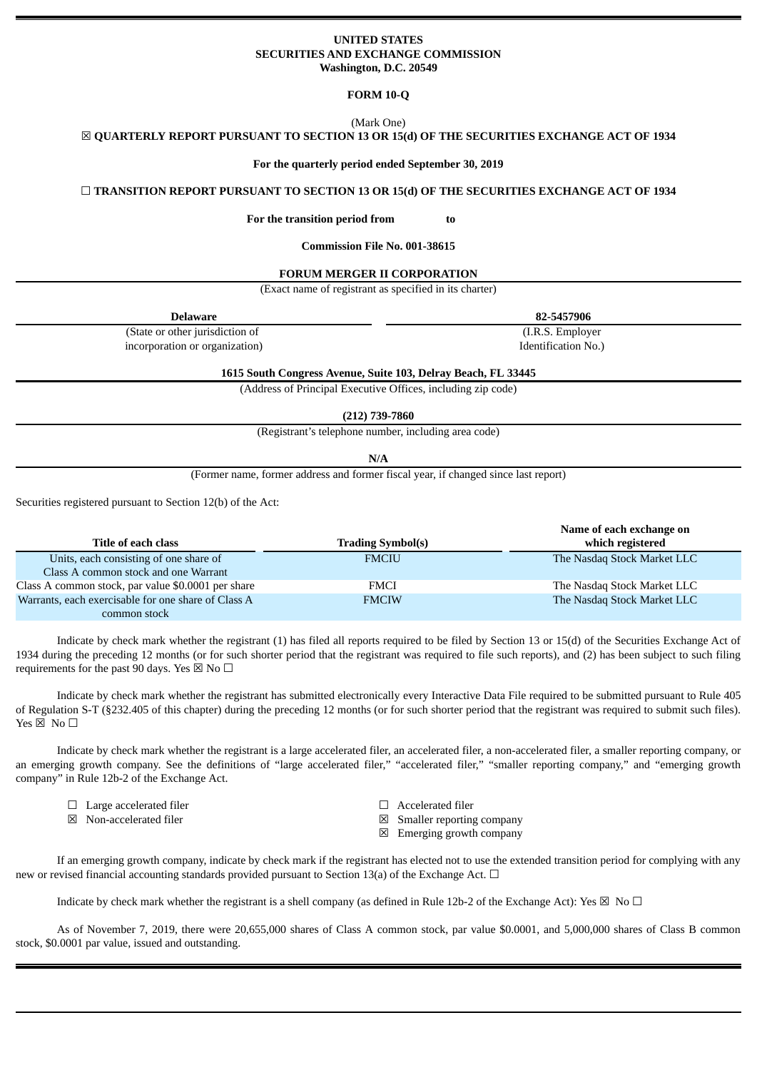### **UNITED STATES SECURITIES AND EXCHANGE COMMISSION Washington, D.C. 20549**

**FORM 10-Q**

(Mark One)

☒ **QUARTERLY REPORT PURSUANT TO SECTION 13 OR 15(d) OF THE SECURITIES EXCHANGE ACT OF 1934**

**For the quarterly period ended September 30, 2019**

☐ **TRANSITION REPORT PURSUANT TO SECTION 13 OR 15(d) OF THE SECURITIES EXCHANGE ACT OF 1934**

**For the transition period from to**

**Commission File No. 001-38615**

#### **FORUM MERGER II CORPORATION**

(Exact name of registrant as specified in its charter)

| <b>Delaware</b>                 | 82-5457906          |
|---------------------------------|---------------------|
| (State or other jurisdiction of | (I.R.S. Employer)   |
| incorporation or organization)  | Identification No.) |

**1615 South Congress Avenue, Suite 103, Delray Beach, FL 33445**

(Address of Principal Executive Offices, including zip code)

**(212) 739-7860**

(Registrant's telephone number, including area code)

**N/A**

(Former name, former address and former fiscal year, if changed since last report)

Securities registered pursuant to Section 12(b) of the Act:

| Title of each class                                 | <b>Trading Symbol(s)</b> | Name of each exchange on<br>which registered |
|-----------------------------------------------------|--------------------------|----------------------------------------------|
|                                                     |                          |                                              |
| Units, each consisting of one share of              | <b>FMCIU</b>             | The Nasdag Stock Market LLC                  |
| Class A common stock and one Warrant                |                          |                                              |
| Class A common stock, par value \$0.0001 per share  | <b>FMCI</b>              | The Nasdaq Stock Market LLC                  |
| Warrants, each exercisable for one share of Class A | <b>FMCIW</b>             | The Nasdag Stock Market LLC                  |
| common stock                                        |                          |                                              |

Indicate by check mark whether the registrant (1) has filed all reports required to be filed by Section 13 or 15(d) of the Securities Exchange Act of 1934 during the preceding 12 months (or for such shorter period that the registrant was required to file such reports), and (2) has been subject to such filing requirements for the past 90 days. Yes  $\boxtimes$  No  $\Box$ 

Indicate by check mark whether the registrant has submitted electronically every Interactive Data File required to be submitted pursuant to Rule 405 of Regulation S-T (§232.405 of this chapter) during the preceding 12 months (or for such shorter period that the registrant was required to submit such files). Yes  $\boxtimes$  No  $\square$ 

Indicate by check mark whether the registrant is a large accelerated filer, an accelerated filer, a non-accelerated filer, a smaller reporting company, or an emerging growth company. See the definitions of "large accelerated filer," "accelerated filer," "smaller reporting company," and "emerging growth company" in Rule 12b-2 of the Exchange Act.

- ☐ Large accelerated filer ☐ Accelerated filer
- 
- 
- $\boxtimes$  Non-accelerated filer  $\boxtimes$  Smaller reporting company
	- ☒ Emerging growth company

If an emerging growth company, indicate by check mark if the registrant has elected not to use the extended transition period for complying with any new or revised financial accounting standards provided pursuant to Section 13(a) of the Exchange Act.  $\Box$ 

Indicate by check mark whether the registrant is a shell company (as defined in Rule 12b-2 of the Exchange Act): Yes  $\boxtimes$  No  $\Box$ 

As of November 7, 2019, there were 20,655,000 shares of Class A common stock, par value \$0.0001, and 5,000,000 shares of Class B common stock, \$0.0001 par value, issued and outstanding.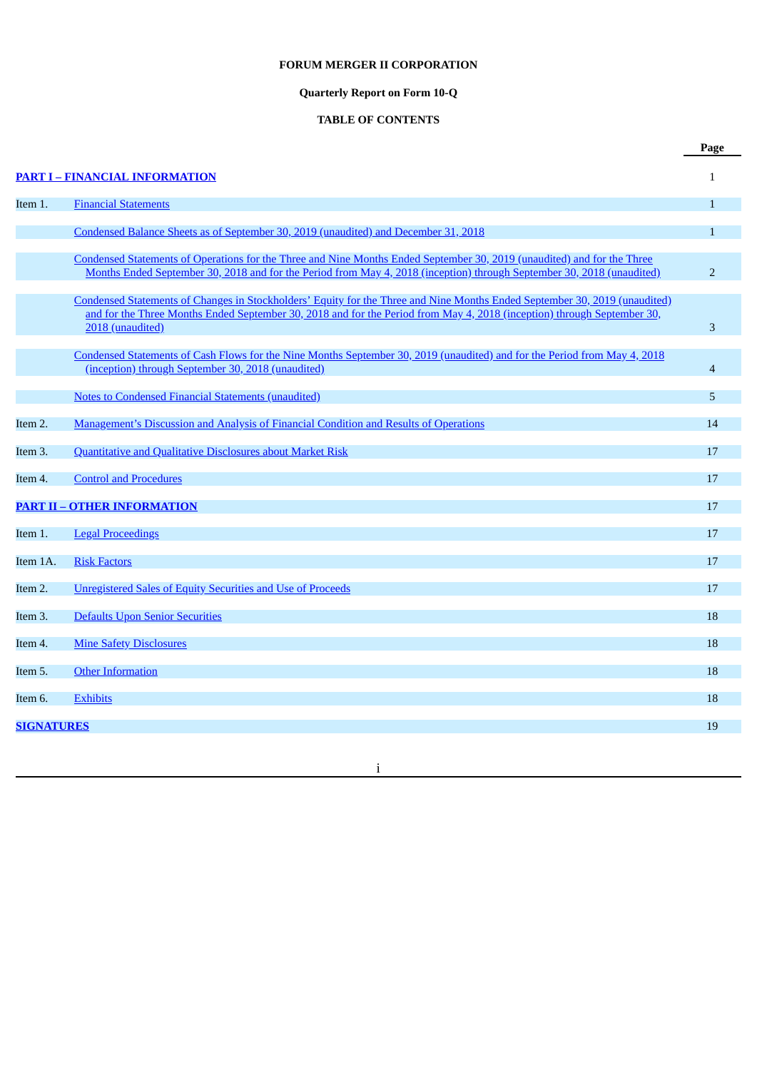# **FORUM MERGER II CORPORATION**

# **Quarterly Report on Form 10-Q**

# **TABLE OF CONTENTS**

|                   |                                                                                                                                                                                                                                                                           | Page           |
|-------------------|---------------------------------------------------------------------------------------------------------------------------------------------------------------------------------------------------------------------------------------------------------------------------|----------------|
|                   | <b>PART I - FINANCIAL INFORMATION</b>                                                                                                                                                                                                                                     | $\mathbf{1}$   |
| Item 1.           | <b>Financial Statements</b>                                                                                                                                                                                                                                               | $\mathbf{1}$   |
|                   | Condensed Balance Sheets as of September 30, 2019 (unaudited) and December 31, 2018                                                                                                                                                                                       | $\mathbf{1}$   |
|                   | Condensed Statements of Operations for the Three and Nine Months Ended September 30, 2019 (unaudited) and for the Three<br>Months Ended September 30, 2018 and for the Period from May 4, 2018 (inception) through September 30, 2018 (unaudited)                         | $\overline{2}$ |
|                   | Condensed Statements of Changes in Stockholders' Equity for the Three and Nine Months Ended September 30, 2019 (unaudited)<br>and for the Three Months Ended September 30, 2018 and for the Period from May 4, 2018 (inception) through September 30,<br>2018 (unaudited) | 3              |
|                   | Condensed Statements of Cash Flows for the Nine Months September 30, 2019 (unaudited) and for the Period from May 4, 2018<br>(inception) through September 30, 2018 (unaudited)                                                                                           | 4              |
|                   | <b>Notes to Condensed Financial Statements (unaudited)</b>                                                                                                                                                                                                                | 5              |
| Item 2.           | Management's Discussion and Analysis of Financial Condition and Results of Operations                                                                                                                                                                                     | 14             |
| Item 3.           | Quantitative and Qualitative Disclosures about Market Risk                                                                                                                                                                                                                | 17             |
| Item 4.           | <b>Control and Procedures</b>                                                                                                                                                                                                                                             | 17             |
|                   | <b>PART II - OTHER INFORMATION</b>                                                                                                                                                                                                                                        | 17             |
| Item 1.           | <b>Legal Proceedings</b>                                                                                                                                                                                                                                                  | 17             |
| Item 1A.          | <b>Risk Factors</b>                                                                                                                                                                                                                                                       | 17             |
| Item 2.           | <b>Unregistered Sales of Equity Securities and Use of Proceeds</b>                                                                                                                                                                                                        | 17             |
| Item 3.           | <b>Defaults Upon Senior Securities</b>                                                                                                                                                                                                                                    | 18             |
| Item 4.           | <b>Mine Safety Disclosures</b>                                                                                                                                                                                                                                            | 18             |
| Item 5.           | <b>Other Information</b>                                                                                                                                                                                                                                                  | 18             |
| Item 6.           | <b>Exhibits</b>                                                                                                                                                                                                                                                           | 18             |
| <b>SIGNATURES</b> |                                                                                                                                                                                                                                                                           | 19             |
|                   |                                                                                                                                                                                                                                                                           |                |

i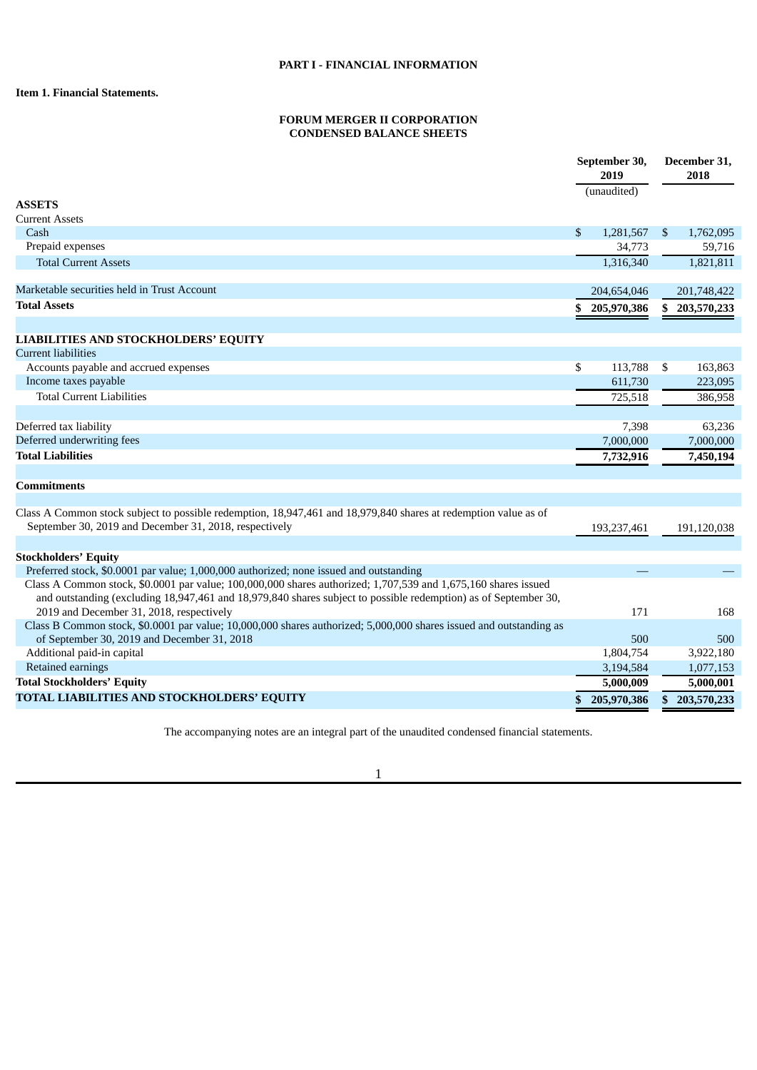# <span id="page-2-2"></span><span id="page-2-1"></span><span id="page-2-0"></span>**Item 1. Financial Statements.**

# **FORUM MERGER II CORPORATION CONDENSED BALANCE SHEETS**

|                                                                                                                                                                                                                                   |    | September 30,<br>2019<br>(unaudited) |              | December 31,<br>2018 |
|-----------------------------------------------------------------------------------------------------------------------------------------------------------------------------------------------------------------------------------|----|--------------------------------------|--------------|----------------------|
| <b>ASSETS</b>                                                                                                                                                                                                                     |    |                                      |              |                      |
| <b>Current Assets</b>                                                                                                                                                                                                             |    |                                      |              |                      |
| Cash                                                                                                                                                                                                                              | \$ | 1,281,567                            | <sup>S</sup> | 1,762,095            |
| Prepaid expenses                                                                                                                                                                                                                  |    | 34,773                               |              | 59,716               |
| <b>Total Current Assets</b>                                                                                                                                                                                                       |    | 1,316,340                            |              | 1,821,811            |
| Marketable securities held in Trust Account                                                                                                                                                                                       |    | 204,654,046                          |              | 201,748,422          |
| <b>Total Assets</b>                                                                                                                                                                                                               | S  | 205,970,386                          |              | \$203,570,233        |
| <b>LIABILITIES AND STOCKHOLDERS' EQUITY</b>                                                                                                                                                                                       |    |                                      |              |                      |
| <b>Current liabilities</b>                                                                                                                                                                                                        |    |                                      |              |                      |
| Accounts payable and accrued expenses                                                                                                                                                                                             | \$ | 113,788                              | -\$          | 163,863              |
| Income taxes payable                                                                                                                                                                                                              |    | 611,730                              |              | 223,095              |
| <b>Total Current Liabilities</b>                                                                                                                                                                                                  |    | 725,518                              |              | 386,958              |
|                                                                                                                                                                                                                                   |    |                                      |              |                      |
| Deferred tax liability                                                                                                                                                                                                            |    | 7,398                                |              | 63,236               |
| Deferred underwriting fees                                                                                                                                                                                                        |    | 7,000,000                            |              | 7,000,000            |
| <b>Total Liabilities</b>                                                                                                                                                                                                          |    | 7,732,916                            |              | 7,450,194            |
|                                                                                                                                                                                                                                   |    |                                      |              |                      |
| <b>Commitments</b>                                                                                                                                                                                                                |    |                                      |              |                      |
| Class A Common stock subject to possible redemption, 18,947,461 and 18,979,840 shares at redemption value as of<br>September 30, 2019 and December 31, 2018, respectively                                                         |    | 193,237,461                          |              | 191,120,038          |
|                                                                                                                                                                                                                                   |    |                                      |              |                      |
| <b>Stockholders' Equity</b>                                                                                                                                                                                                       |    |                                      |              |                      |
| Preferred stock, \$0.0001 par value; 1,000,000 authorized; none issued and outstanding                                                                                                                                            |    |                                      |              |                      |
| Class A Common stock, \$0.0001 par value; 100,000,000 shares authorized; 1,707,539 and 1,675,160 shares issued<br>and outstanding (excluding 18,947,461 and 18,979,840 shares subject to possible redemption) as of September 30, |    |                                      |              |                      |
| 2019 and December 31, 2018, respectively                                                                                                                                                                                          |    | 171                                  |              | 168                  |
| Class B Common stock, \$0.0001 par value; 10,000,000 shares authorized; 5,000,000 shares issued and outstanding as                                                                                                                |    |                                      |              |                      |
| of September 30, 2019 and December 31, 2018                                                                                                                                                                                       |    | 500                                  |              | 500                  |
| Additional paid-in capital                                                                                                                                                                                                        |    | 1,804,754                            |              | 3,922,180            |
| Retained earnings                                                                                                                                                                                                                 |    | 3,194,584                            |              | 1,077,153            |
| <b>Total Stockholders' Equity</b>                                                                                                                                                                                                 |    | 5,000,009                            |              | 5,000,001            |
| TOTAL LIABILITIES AND STOCKHOLDERS' EQUITY                                                                                                                                                                                        |    | 205,970,386                          | \$           | 203,570,233          |

The accompanying notes are an integral part of the unaudited condensed financial statements.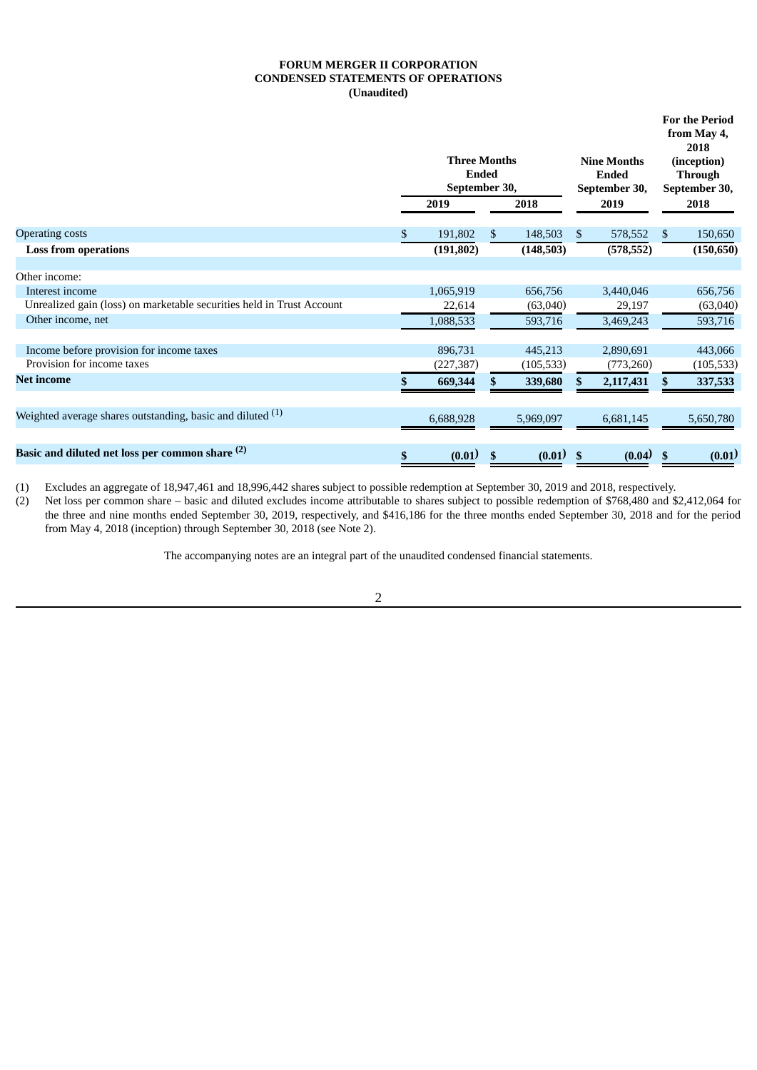# **FORUM MERGER II CORPORATION CONDENSED STATEMENTS OF OPERATIONS (Unaudited)**

<span id="page-3-0"></span>

|                                                                       | <b>Three Months</b><br><b>Ended</b><br>September 30,<br>2019 |     | 2018       | <b>Nine Months</b><br><b>Ended</b><br>September 30,<br>2019 |               | <b>For the Period</b><br>from May 4,<br>2018<br>(inception)<br><b>Through</b><br>September 30,<br>2018 |
|-----------------------------------------------------------------------|--------------------------------------------------------------|-----|------------|-------------------------------------------------------------|---------------|--------------------------------------------------------------------------------------------------------|
| <b>Operating costs</b>                                                | \$<br>191,802                                                | \$. | 148,503    | \$<br>578,552                                               | <sup>\$</sup> | 150,650                                                                                                |
| <b>Loss from operations</b>                                           | (191, 802)                                                   |     | (148,503)  | (578, 552)                                                  |               | (150, 650)                                                                                             |
| Other income:                                                         |                                                              |     |            |                                                             |               |                                                                                                        |
| Interest income                                                       | 1,065,919                                                    |     | 656,756    | 3,440,046                                                   |               | 656,756                                                                                                |
| Unrealized gain (loss) on marketable securities held in Trust Account | 22,614                                                       |     | (63,040)   | 29,197                                                      |               | (63,040)                                                                                               |
| Other income, net                                                     | 1,088,533                                                    |     | 593,716    | 3,469,243                                                   |               | 593,716                                                                                                |
| Income before provision for income taxes                              | 896,731                                                      |     | 445,213    | 2,890,691                                                   |               | 443,066                                                                                                |
| Provision for income taxes                                            | (227, 387)                                                   |     | (105, 533) | (773,260)                                                   |               | (105, 533)                                                                                             |
| <b>Net income</b>                                                     | 669,344                                                      |     | 339,680    | 2,117,431                                                   |               | 337,533                                                                                                |
| Weighted average shares outstanding, basic and diluted $(1)$          | 6,688,928                                                    |     | 5,969,097  | 6,681,145                                                   |               | 5,650,780                                                                                              |
| Basic and diluted net loss per common share (2)                       | \$<br>(0.01)                                                 | \$. | (0.01)     | \$<br>(0.04)                                                | -\$           | (0.01)                                                                                                 |

(1) Excludes an aggregate of 18,947,461 and 18,996,442 shares subject to possible redemption at September 30, 2019 and 2018, respectively.

(2) Net loss per common share – basic and diluted excludes income attributable to shares subject to possible redemption of \$768,480 and \$2,412,064 for the three and nine months ended September 30, 2019, respectively, and \$416,186 for the three months ended September 30, 2018 and for the period from May 4, 2018 (inception) through September 30, 2018 (see Note 2).

The accompanying notes are an integral part of the unaudited condensed financial statements.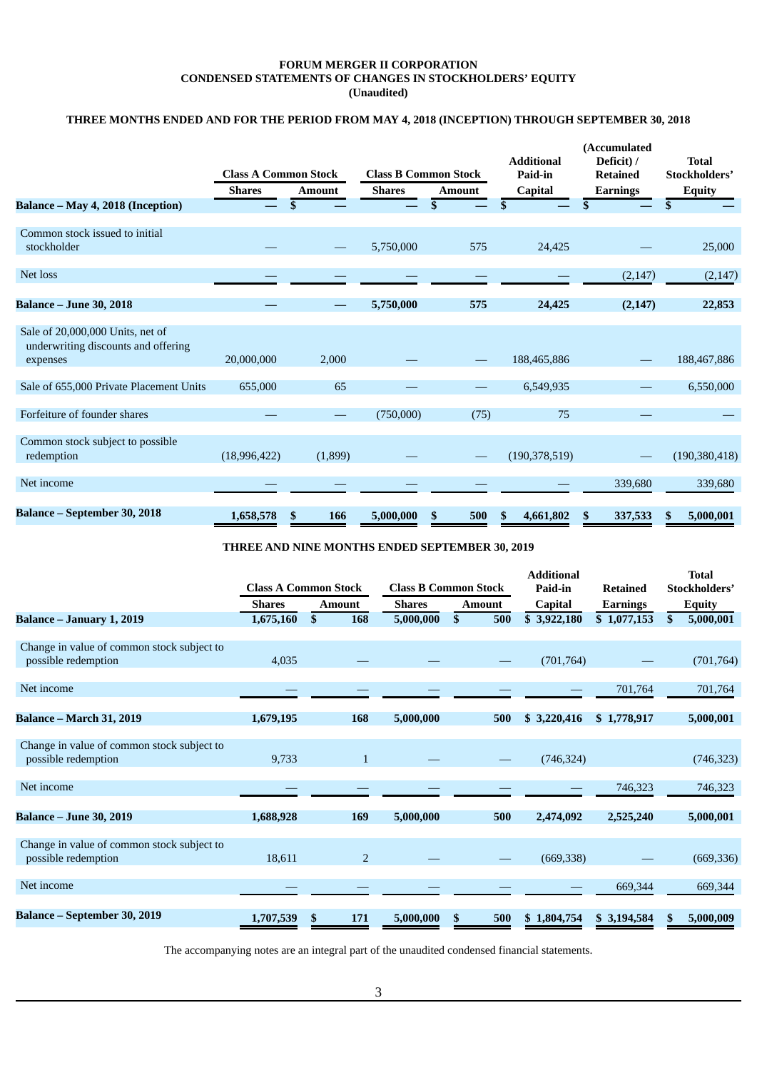# **FORUM MERGER II CORPORATION CONDENSED STATEMENTS OF CHANGES IN STOCKHOLDERS' EQUITY (Unaudited)**

# <span id="page-4-0"></span>**THREE MONTHS ENDED AND FOR THE PERIOD FROM MAY 4, 2018 (INCEPTION) THROUGH SEPTEMBER 30, 2018**

|                                                                                     | <b>Class A Common Stock</b> |               |               | <b>Class B Common Stock</b> | <b>Additional</b><br>Paid-in | (Accumulated<br>Deficit) /<br><b>Retained</b> | <b>Total</b><br>Stockholders' |  |
|-------------------------------------------------------------------------------------|-----------------------------|---------------|---------------|-----------------------------|------------------------------|-----------------------------------------------|-------------------------------|--|
|                                                                                     | <b>Shares</b>               | <b>Amount</b> | <b>Shares</b> | <b>Amount</b>               | Capital                      | <b>Earnings</b>                               | <b>Equity</b>                 |  |
| Balance - May 4, 2018 (Inception)                                                   |                             | \$            |               | \$                          | \$                           | $\boldsymbol{\mathsf{s}}$                     | \$                            |  |
| Common stock issued to initial<br>stockholder                                       |                             |               | 5,750,000     | 575                         | 24,425                       |                                               | 25,000                        |  |
| Net loss                                                                            |                             |               |               |                             |                              | (2, 147)                                      | (2, 147)                      |  |
| <b>Balance – June 30, 2018</b>                                                      |                             |               | 5,750,000     | 575                         | 24,425                       | (2, 147)                                      | 22,853                        |  |
| Sale of 20,000,000 Units, net of<br>underwriting discounts and offering<br>expenses | 20,000,000                  | 2,000         |               |                             | 188,465,886                  |                                               | 188,467,886                   |  |
| Sale of 655,000 Private Placement Units                                             | 655,000                     | 65            |               |                             | 6,549,935                    |                                               | 6,550,000                     |  |
| Forfeiture of founder shares                                                        |                             |               | (750,000)     | (75)                        | 75                           |                                               |                               |  |
| Common stock subject to possible<br>redemption                                      | (18,996,422)                | (1,899)       |               |                             | (190, 378, 519)              |                                               | (190, 380, 418)               |  |
| Net income                                                                          |                             |               |               |                             |                              | 339,680                                       | 339,680                       |  |
| Balance - September 30, 2018                                                        | 1,658,578                   | 166<br>\$     | 5,000,000     | 500<br>\$                   | 4,661,802<br>\$              | 337,533<br>\$                                 | 5,000,001<br>\$               |  |

# **THREE AND NINE MONTHS ENDED SEPTEMBER 30, 2019**

|                                                                   |               | <b>Class A Common Stock</b> | <b>Class B Common Stock</b> |               | <b>Additional</b><br>Paid-in<br><b>Retained</b> |                 |                 |  |
|-------------------------------------------------------------------|---------------|-----------------------------|-----------------------------|---------------|-------------------------------------------------|-----------------|-----------------|--|
|                                                                   | <b>Shares</b> | <b>Amount</b>               | <b>Shares</b>               | <b>Amount</b> | <b>Capital</b>                                  | <b>Earnings</b> | <b>Equity</b>   |  |
| Balance - January 1, 2019                                         | 1,675,160     | \$<br>168                   | 5,000,000                   | \$<br>500     | \$3,922,180                                     | \$1,077,153     | 5,000,001<br>\$ |  |
| Change in value of common stock subject to<br>possible redemption | 4,035         |                             |                             |               | (701, 764)                                      |                 | (701, 764)      |  |
| Net income                                                        |               |                             |                             |               |                                                 | 701,764         | 701,764         |  |
| <b>Balance - March 31, 2019</b>                                   | 1,679,195     | 168                         | 5,000,000                   | 500           | \$3,220,416                                     | \$1,778,917     | 5,000,001       |  |
| Change in value of common stock subject to<br>possible redemption | 9,733         | $\mathbf{1}$                |                             |               | (746, 324)                                      |                 | (746, 323)      |  |
| Net income                                                        |               |                             |                             |               |                                                 | 746,323         | 746,323         |  |
| <b>Balance - June 30, 2019</b>                                    | 1,688,928     | 169                         | 5,000,000                   | 500           | 2,474,092                                       | 2,525,240       | 5,000,001       |  |
| Change in value of common stock subject to<br>possible redemption | 18,611        | 2                           |                             |               | (669, 338)                                      |                 | (669, 336)      |  |
| Net income                                                        |               |                             |                             |               |                                                 | 669,344         | 669,344         |  |
| Balance - September 30, 2019                                      | 1,707,539     | 171<br>S                    | 5,000,000                   | 500<br>S      | \$1,804,754                                     | \$ 3,194,584    | 5,000,009       |  |

The accompanying notes are an integral part of the unaudited condensed financial statements.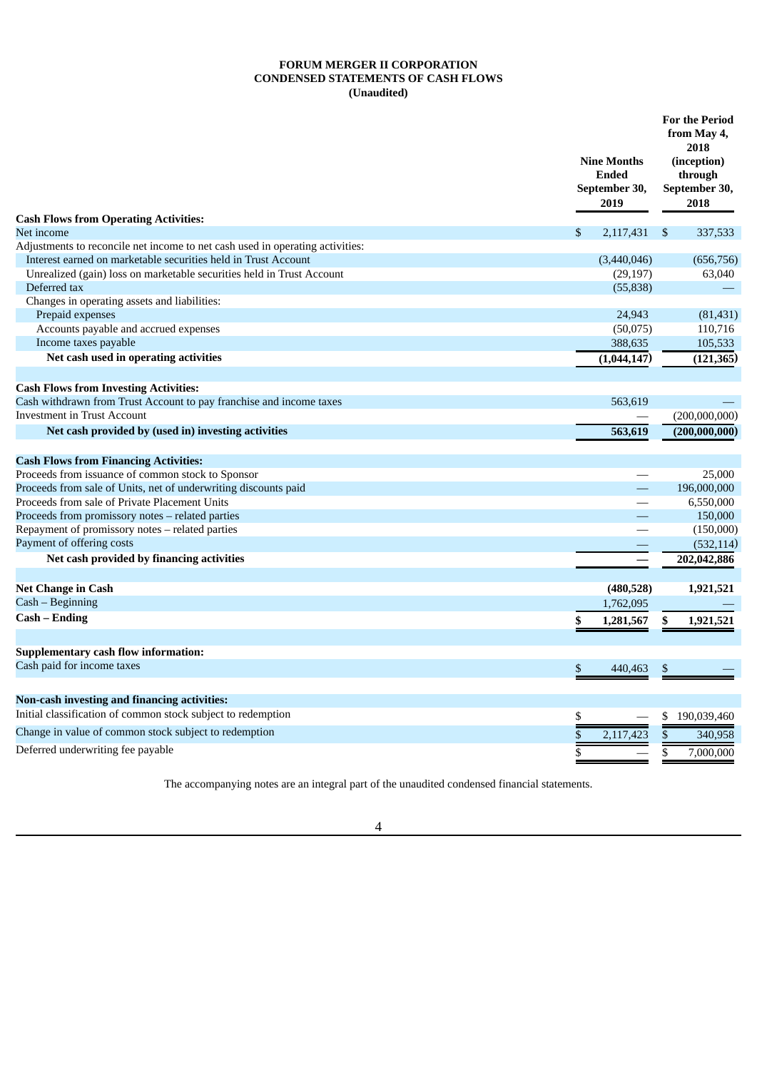# **FORUM MERGER II CORPORATION CONDENSED STATEMENTS OF CASH FLOWS (Unaudited)**

<span id="page-5-0"></span>

|                                                                               | <b>Nine Months</b><br><b>Ended</b><br>September 30,<br>2019 | <b>For the Period</b><br>from May 4,<br>2018<br>(inception)<br>through<br>September 30,<br>2018 |
|-------------------------------------------------------------------------------|-------------------------------------------------------------|-------------------------------------------------------------------------------------------------|
| <b>Cash Flows from Operating Activities:</b>                                  |                                                             |                                                                                                 |
| Net income                                                                    | \$<br>2,117,431                                             | 337,533<br>\$                                                                                   |
| Adjustments to reconcile net income to net cash used in operating activities: |                                                             |                                                                                                 |
| Interest earned on marketable securities held in Trust Account                | (3,440,046)                                                 | (656, 756)                                                                                      |
| Unrealized (gain) loss on marketable securities held in Trust Account         | (29, 197)                                                   | 63,040                                                                                          |
| Deferred tax                                                                  | (55, 838)                                                   |                                                                                                 |
| Changes in operating assets and liabilities:                                  |                                                             |                                                                                                 |
| Prepaid expenses                                                              | 24,943                                                      | (81, 431)                                                                                       |
| Accounts payable and accrued expenses                                         | (50,075)                                                    | 110,716                                                                                         |
| Income taxes payable                                                          | 388,635                                                     | 105,533                                                                                         |
| Net cash used in operating activities                                         | (1,044,147)                                                 | (121, 365)                                                                                      |
|                                                                               |                                                             |                                                                                                 |
| <b>Cash Flows from Investing Activities:</b>                                  |                                                             |                                                                                                 |
| Cash withdrawn from Trust Account to pay franchise and income taxes           | 563,619                                                     |                                                                                                 |
| <b>Investment in Trust Account</b>                                            |                                                             | (200,000,000)                                                                                   |
| Net cash provided by (used in) investing activities                           | 563,619                                                     | (200,000,000)                                                                                   |
| <b>Cash Flows from Financing Activities:</b>                                  |                                                             |                                                                                                 |
| Proceeds from issuance of common stock to Sponsor                             |                                                             | 25,000                                                                                          |
| Proceeds from sale of Units, net of underwriting discounts paid               |                                                             | 196,000,000                                                                                     |
| Proceeds from sale of Private Placement Units                                 |                                                             | 6,550,000                                                                                       |
| Proceeds from promissory notes - related parties                              |                                                             | 150,000                                                                                         |
| Repayment of promissory notes - related parties                               |                                                             | (150,000)                                                                                       |
| Payment of offering costs                                                     |                                                             | (532, 114)                                                                                      |
| Net cash provided by financing activities                                     |                                                             | 202,042,886                                                                                     |
|                                                                               |                                                             |                                                                                                 |
| <b>Net Change in Cash</b>                                                     | (480, 528)                                                  | 1,921,521                                                                                       |
| Cash - Beginning                                                              | 1,762,095                                                   |                                                                                                 |
| Cash – Ending                                                                 | 1,281,567<br>\$                                             | \$<br>1,921,521                                                                                 |
|                                                                               |                                                             |                                                                                                 |
| <b>Supplementary cash flow information:</b>                                   |                                                             |                                                                                                 |
| Cash paid for income taxes                                                    |                                                             |                                                                                                 |
|                                                                               | \$<br>440,463                                               | \$                                                                                              |
| Non-cash investing and financing activities:                                  |                                                             |                                                                                                 |
| Initial classification of common stock subject to redemption                  | \$                                                          | \$<br>190,039,460                                                                               |
| Change in value of common stock subject to redemption                         | \$<br>2,117,423                                             | \$<br>340,958                                                                                   |
|                                                                               |                                                             |                                                                                                 |
| Deferred underwriting fee payable                                             | \$                                                          | \$<br>7,000,000                                                                                 |

The accompanying notes are an integral part of the unaudited condensed financial statements.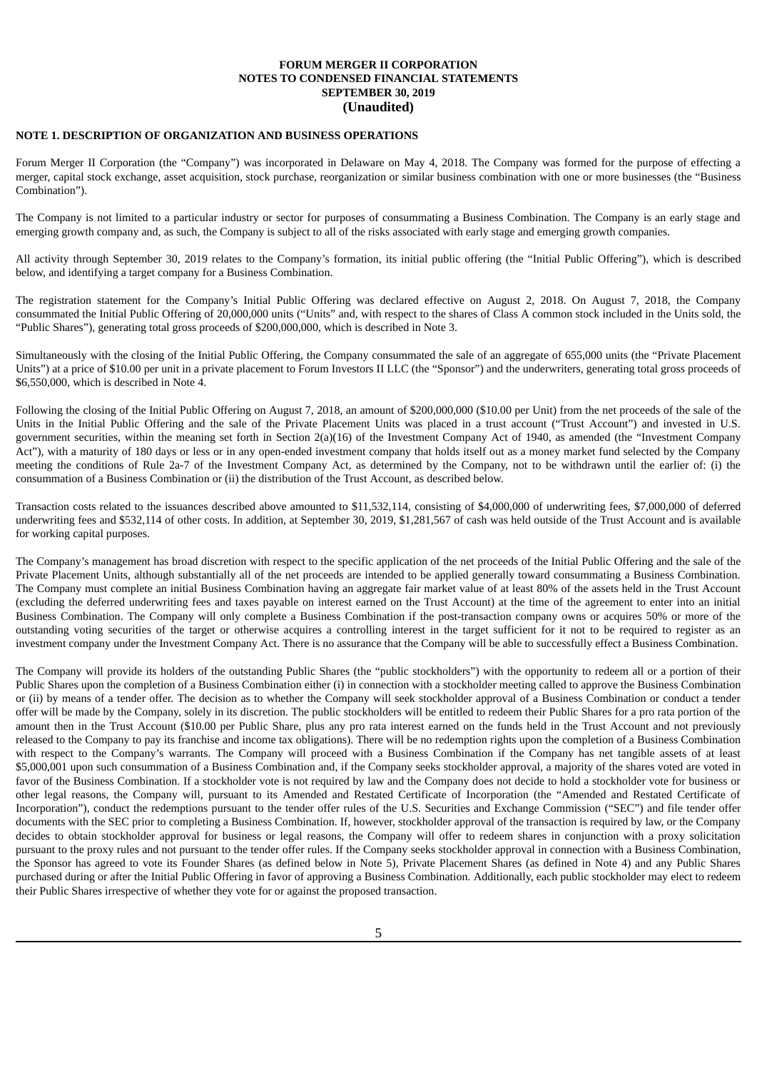### <span id="page-6-0"></span>**NOTE 1. DESCRIPTION OF ORGANIZATION AND BUSINESS OPERATIONS**

Forum Merger II Corporation (the "Company") was incorporated in Delaware on May 4, 2018. The Company was formed for the purpose of effecting a merger, capital stock exchange, asset acquisition, stock purchase, reorganization or similar business combination with one or more businesses (the "Business Combination").

The Company is not limited to a particular industry or sector for purposes of consummating a Business Combination. The Company is an early stage and emerging growth company and, as such, the Company is subject to all of the risks associated with early stage and emerging growth companies.

All activity through September 30, 2019 relates to the Company's formation, its initial public offering (the "Initial Public Offering"), which is described below, and identifying a target company for a Business Combination.

The registration statement for the Company's Initial Public Offering was declared effective on August 2, 2018. On August 7, 2018, the Company consummated the Initial Public Offering of 20,000,000 units ("Units" and, with respect to the shares of Class A common stock included in the Units sold, the "Public Shares"), generating total gross proceeds of \$200,000,000, which is described in Note 3.

Simultaneously with the closing of the Initial Public Offering, the Company consummated the sale of an aggregate of 655,000 units (the "Private Placement Units") at a price of \$10.00 per unit in a private placement to Forum Investors II LLC (the "Sponsor") and the underwriters, generating total gross proceeds of \$6,550,000, which is described in Note 4.

Following the closing of the Initial Public Offering on August 7, 2018, an amount of \$200,000,000 (\$10.00 per Unit) from the net proceeds of the sale of the Units in the Initial Public Offering and the sale of the Private Placement Units was placed in a trust account ("Trust Account") and invested in U.S. government securities, within the meaning set forth in Section 2(a)(16) of the Investment Company Act of 1940, as amended (the "Investment Company Act"), with a maturity of 180 days or less or in any open-ended investment company that holds itself out as a money market fund selected by the Company meeting the conditions of Rule 2a-7 of the Investment Company Act, as determined by the Company, not to be withdrawn until the earlier of: (i) the consummation of a Business Combination or (ii) the distribution of the Trust Account, as described below.

Transaction costs related to the issuances described above amounted to \$11,532,114, consisting of \$4,000,000 of underwriting fees, \$7,000,000 of deferred underwriting fees and \$532,114 of other costs. In addition, at September 30, 2019, \$1,281,567 of cash was held outside of the Trust Account and is available for working capital purposes.

The Company's management has broad discretion with respect to the specific application of the net proceeds of the Initial Public Offering and the sale of the Private Placement Units, although substantially all of the net proceeds are intended to be applied generally toward consummating a Business Combination. The Company must complete an initial Business Combination having an aggregate fair market value of at least 80% of the assets held in the Trust Account (excluding the deferred underwriting fees and taxes payable on interest earned on the Trust Account) at the time of the agreement to enter into an initial Business Combination. The Company will only complete a Business Combination if the post-transaction company owns or acquires 50% or more of the outstanding voting securities of the target or otherwise acquires a controlling interest in the target sufficient for it not to be required to register as an investment company under the Investment Company Act. There is no assurance that the Company will be able to successfully effect a Business Combination.

The Company will provide its holders of the outstanding Public Shares (the "public stockholders") with the opportunity to redeem all or a portion of their Public Shares upon the completion of a Business Combination either (i) in connection with a stockholder meeting called to approve the Business Combination or (ii) by means of a tender offer. The decision as to whether the Company will seek stockholder approval of a Business Combination or conduct a tender offer will be made by the Company, solely in its discretion. The public stockholders will be entitled to redeem their Public Shares for a pro rata portion of the amount then in the Trust Account (\$10.00 per Public Share, plus any pro rata interest earned on the funds held in the Trust Account and not previously released to the Company to pay its franchise and income tax obligations). There will be no redemption rights upon the completion of a Business Combination with respect to the Company's warrants. The Company will proceed with a Business Combination if the Company has net tangible assets of at least \$5,000,001 upon such consummation of a Business Combination and, if the Company seeks stockholder approval, a majority of the shares voted are voted in favor of the Business Combination. If a stockholder vote is not required by law and the Company does not decide to hold a stockholder vote for business or other legal reasons, the Company will, pursuant to its Amended and Restated Certificate of Incorporation (the "Amended and Restated Certificate of Incorporation"), conduct the redemptions pursuant to the tender offer rules of the U.S. Securities and Exchange Commission ("SEC") and file tender offer documents with the SEC prior to completing a Business Combination. If, however, stockholder approval of the transaction is required by law, or the Company decides to obtain stockholder approval for business or legal reasons, the Company will offer to redeem shares in conjunction with a proxy solicitation pursuant to the proxy rules and not pursuant to the tender offer rules. If the Company seeks stockholder approval in connection with a Business Combination, the Sponsor has agreed to vote its Founder Shares (as defined below in Note 5), Private Placement Shares (as defined in Note 4) and any Public Shares purchased during or after the Initial Public Offering in favor of approving a Business Combination. Additionally, each public stockholder may elect to redeem their Public Shares irrespective of whether they vote for or against the proposed transaction.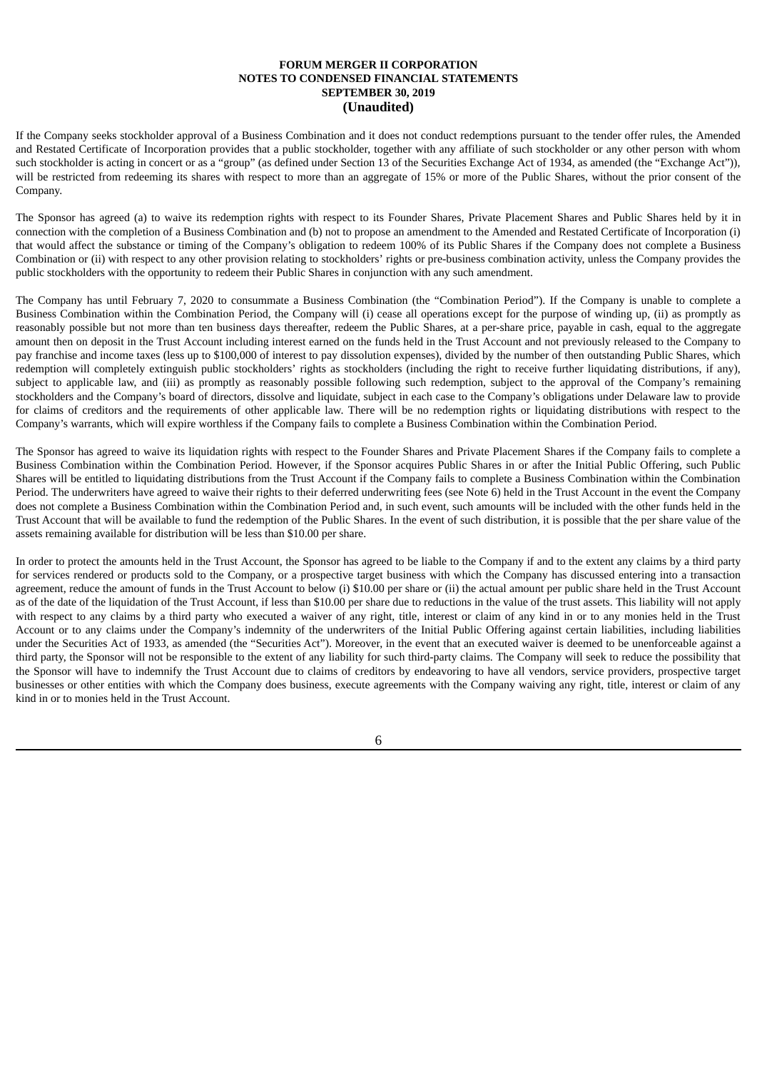If the Company seeks stockholder approval of a Business Combination and it does not conduct redemptions pursuant to the tender offer rules, the Amended and Restated Certificate of Incorporation provides that a public stockholder, together with any affiliate of such stockholder or any other person with whom such stockholder is acting in concert or as a "group" (as defined under Section 13 of the Securities Exchange Act of 1934, as amended (the "Exchange Act")), will be restricted from redeeming its shares with respect to more than an aggregate of 15% or more of the Public Shares, without the prior consent of the Company.

The Sponsor has agreed (a) to waive its redemption rights with respect to its Founder Shares, Private Placement Shares and Public Shares held by it in connection with the completion of a Business Combination and (b) not to propose an amendment to the Amended and Restated Certificate of Incorporation (i) that would affect the substance or timing of the Company's obligation to redeem 100% of its Public Shares if the Company does not complete a Business Combination or (ii) with respect to any other provision relating to stockholders' rights or pre-business combination activity, unless the Company provides the public stockholders with the opportunity to redeem their Public Shares in conjunction with any such amendment.

The Company has until February 7, 2020 to consummate a Business Combination (the "Combination Period"). If the Company is unable to complete a Business Combination within the Combination Period, the Company will (i) cease all operations except for the purpose of winding up, (ii) as promptly as reasonably possible but not more than ten business days thereafter, redeem the Public Shares, at a per-share price, payable in cash, equal to the aggregate amount then on deposit in the Trust Account including interest earned on the funds held in the Trust Account and not previously released to the Company to pay franchise and income taxes (less up to \$100,000 of interest to pay dissolution expenses), divided by the number of then outstanding Public Shares, which redemption will completely extinguish public stockholders' rights as stockholders (including the right to receive further liquidating distributions, if any), subject to applicable law, and (iii) as promptly as reasonably possible following such redemption, subject to the approval of the Company's remaining stockholders and the Company's board of directors, dissolve and liquidate, subject in each case to the Company's obligations under Delaware law to provide for claims of creditors and the requirements of other applicable law. There will be no redemption rights or liquidating distributions with respect to the Company's warrants, which will expire worthless if the Company fails to complete a Business Combination within the Combination Period.

The Sponsor has agreed to waive its liquidation rights with respect to the Founder Shares and Private Placement Shares if the Company fails to complete a Business Combination within the Combination Period. However, if the Sponsor acquires Public Shares in or after the Initial Public Offering, such Public Shares will be entitled to liquidating distributions from the Trust Account if the Company fails to complete a Business Combination within the Combination Period. The underwriters have agreed to waive their rights to their deferred underwriting fees (see Note 6) held in the Trust Account in the event the Company does not complete a Business Combination within the Combination Period and, in such event, such amounts will be included with the other funds held in the Trust Account that will be available to fund the redemption of the Public Shares. In the event of such distribution, it is possible that the per share value of the assets remaining available for distribution will be less than \$10.00 per share.

In order to protect the amounts held in the Trust Account, the Sponsor has agreed to be liable to the Company if and to the extent any claims by a third party for services rendered or products sold to the Company, or a prospective target business with which the Company has discussed entering into a transaction agreement, reduce the amount of funds in the Trust Account to below (i) \$10.00 per share or (ii) the actual amount per public share held in the Trust Account as of the date of the liquidation of the Trust Account, if less than \$10.00 per share due to reductions in the value of the trust assets. This liability will not apply with respect to any claims by a third party who executed a waiver of any right, title, interest or claim of any kind in or to any monies held in the Trust Account or to any claims under the Company's indemnity of the underwriters of the Initial Public Offering against certain liabilities, including liabilities under the Securities Act of 1933, as amended (the "Securities Act"). Moreover, in the event that an executed waiver is deemed to be unenforceable against a third party, the Sponsor will not be responsible to the extent of any liability for such third-party claims. The Company will seek to reduce the possibility that the Sponsor will have to indemnify the Trust Account due to claims of creditors by endeavoring to have all vendors, service providers, prospective target businesses or other entities with which the Company does business, execute agreements with the Company waiving any right, title, interest or claim of any kind in or to monies held in the Trust Account.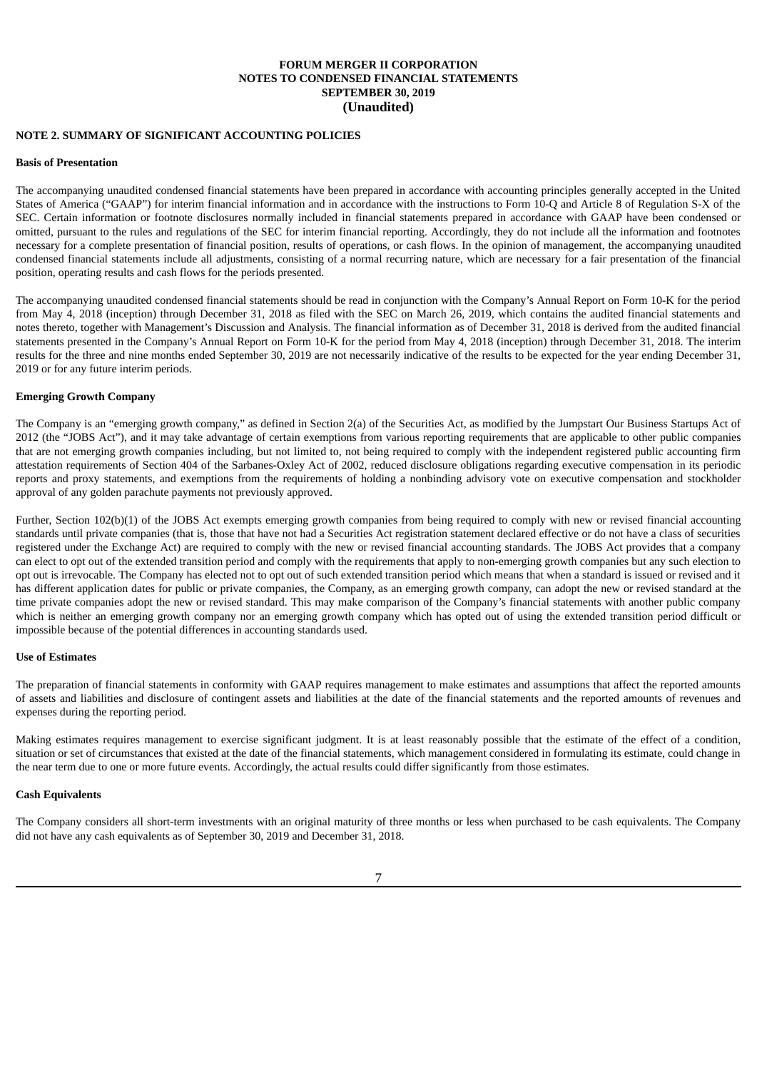### **NOTE 2. SUMMARY OF SIGNIFICANT ACCOUNTING POLICIES**

### **Basis of Presentation**

The accompanying unaudited condensed financial statements have been prepared in accordance with accounting principles generally accepted in the United States of America ("GAAP") for interim financial information and in accordance with the instructions to Form 10-Q and Article 8 of Regulation S-X of the SEC. Certain information or footnote disclosures normally included in financial statements prepared in accordance with GAAP have been condensed or omitted, pursuant to the rules and regulations of the SEC for interim financial reporting. Accordingly, they do not include all the information and footnotes necessary for a complete presentation of financial position, results of operations, or cash flows. In the opinion of management, the accompanying unaudited condensed financial statements include all adjustments, consisting of a normal recurring nature, which are necessary for a fair presentation of the financial position, operating results and cash flows for the periods presented.

The accompanying unaudited condensed financial statements should be read in conjunction with the Company's Annual Report on Form 10-K for the period from May 4, 2018 (inception) through December 31, 2018 as filed with the SEC on March 26, 2019, which contains the audited financial statements and notes thereto, together with Management's Discussion and Analysis. The financial information as of December 31, 2018 is derived from the audited financial statements presented in the Company's Annual Report on Form 10-K for the period from May 4, 2018 (inception) through December 31, 2018. The interim results for the three and nine months ended September 30, 2019 are not necessarily indicative of the results to be expected for the year ending December 31, 2019 or for any future interim periods.

### **Emerging Growth Company**

The Company is an "emerging growth company," as defined in Section 2(a) of the Securities Act, as modified by the Jumpstart Our Business Startups Act of 2012 (the "JOBS Act"), and it may take advantage of certain exemptions from various reporting requirements that are applicable to other public companies that are not emerging growth companies including, but not limited to, not being required to comply with the independent registered public accounting firm attestation requirements of Section 404 of the Sarbanes-Oxley Act of 2002, reduced disclosure obligations regarding executive compensation in its periodic reports and proxy statements, and exemptions from the requirements of holding a nonbinding advisory vote on executive compensation and stockholder approval of any golden parachute payments not previously approved.

Further, Section 102(b)(1) of the JOBS Act exempts emerging growth companies from being required to comply with new or revised financial accounting standards until private companies (that is, those that have not had a Securities Act registration statement declared effective or do not have a class of securities registered under the Exchange Act) are required to comply with the new or revised financial accounting standards. The JOBS Act provides that a company can elect to opt out of the extended transition period and comply with the requirements that apply to non-emerging growth companies but any such election to opt out is irrevocable. The Company has elected not to opt out of such extended transition period which means that when a standard is issued or revised and it has different application dates for public or private companies, the Company, as an emerging growth company, can adopt the new or revised standard at the time private companies adopt the new or revised standard. This may make comparison of the Company's financial statements with another public company which is neither an emerging growth company nor an emerging growth company which has opted out of using the extended transition period difficult or impossible because of the potential differences in accounting standards used.

#### **Use of Estimates**

The preparation of financial statements in conformity with GAAP requires management to make estimates and assumptions that affect the reported amounts of assets and liabilities and disclosure of contingent assets and liabilities at the date of the financial statements and the reported amounts of revenues and expenses during the reporting period.

Making estimates requires management to exercise significant judgment. It is at least reasonably possible that the estimate of the effect of a condition, situation or set of circumstances that existed at the date of the financial statements, which management considered in formulating its estimate, could change in the near term due to one or more future events. Accordingly, the actual results could differ significantly from those estimates.

#### **Cash Equivalents**

The Company considers all short-term investments with an original maturity of three months or less when purchased to be cash equivalents. The Company did not have any cash equivalents as of September 30, 2019 and December 31, 2018.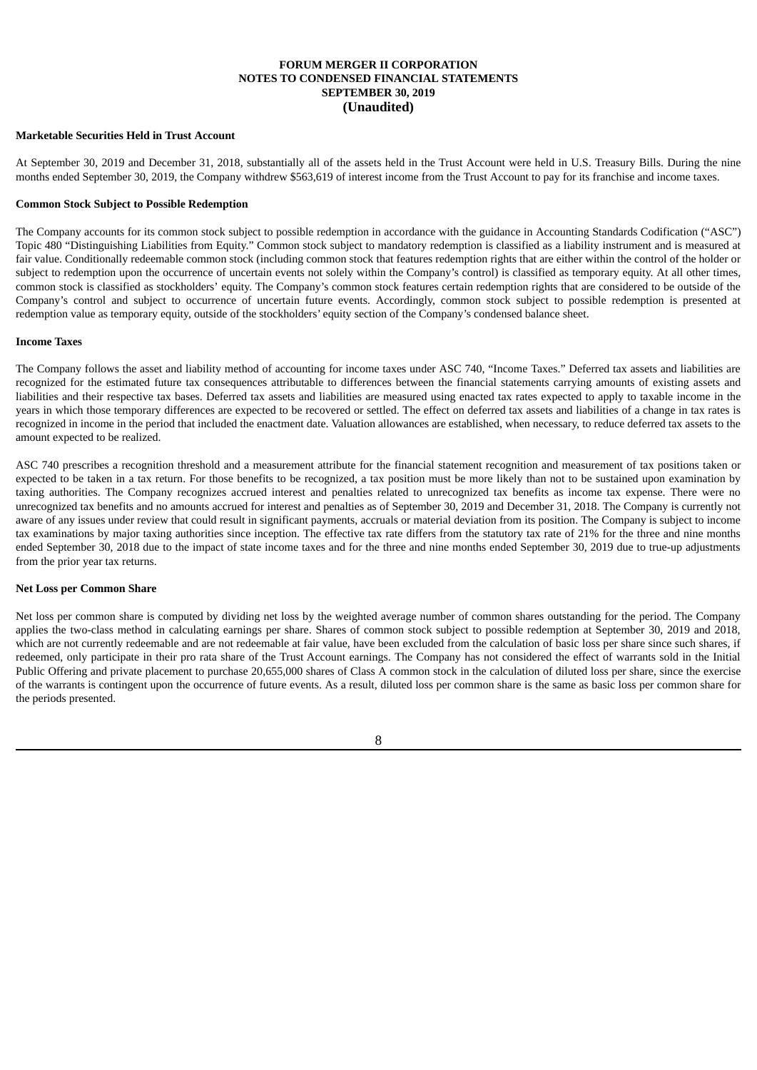### **Marketable Securities Held in Trust Account**

At September 30, 2019 and December 31, 2018, substantially all of the assets held in the Trust Account were held in U.S. Treasury Bills. During the nine months ended September 30, 2019, the Company withdrew \$563,619 of interest income from the Trust Account to pay for its franchise and income taxes.

## **Common Stock Subject to Possible Redemption**

The Company accounts for its common stock subject to possible redemption in accordance with the guidance in Accounting Standards Codification ("ASC") Topic 480 "Distinguishing Liabilities from Equity." Common stock subject to mandatory redemption is classified as a liability instrument and is measured at fair value. Conditionally redeemable common stock (including common stock that features redemption rights that are either within the control of the holder or subject to redemption upon the occurrence of uncertain events not solely within the Company's control) is classified as temporary equity. At all other times, common stock is classified as stockholders' equity. The Company's common stock features certain redemption rights that are considered to be outside of the Company's control and subject to occurrence of uncertain future events. Accordingly, common stock subject to possible redemption is presented at redemption value as temporary equity, outside of the stockholders' equity section of the Company's condensed balance sheet.

### **Income Taxes**

The Company follows the asset and liability method of accounting for income taxes under ASC 740, "Income Taxes." Deferred tax assets and liabilities are recognized for the estimated future tax consequences attributable to differences between the financial statements carrying amounts of existing assets and liabilities and their respective tax bases. Deferred tax assets and liabilities are measured using enacted tax rates expected to apply to taxable income in the years in which those temporary differences are expected to be recovered or settled. The effect on deferred tax assets and liabilities of a change in tax rates is recognized in income in the period that included the enactment date. Valuation allowances are established, when necessary, to reduce deferred tax assets to the amount expected to be realized.

ASC 740 prescribes a recognition threshold and a measurement attribute for the financial statement recognition and measurement of tax positions taken or expected to be taken in a tax return. For those benefits to be recognized, a tax position must be more likely than not to be sustained upon examination by taxing authorities. The Company recognizes accrued interest and penalties related to unrecognized tax benefits as income tax expense. There were no unrecognized tax benefits and no amounts accrued for interest and penalties as of September 30, 2019 and December 31, 2018. The Company is currently not aware of any issues under review that could result in significant payments, accruals or material deviation from its position. The Company is subject to income tax examinations by major taxing authorities since inception. The effective tax rate differs from the statutory tax rate of 21% for the three and nine months ended September 30, 2018 due to the impact of state income taxes and for the three and nine months ended September 30, 2019 due to true-up adjustments from the prior year tax returns.

### **Net Loss per Common Share**

Net loss per common share is computed by dividing net loss by the weighted average number of common shares outstanding for the period. The Company applies the two-class method in calculating earnings per share. Shares of common stock subject to possible redemption at September 30, 2019 and 2018, which are not currently redeemable and are not redeemable at fair value, have been excluded from the calculation of basic loss per share since such shares, if redeemed, only participate in their pro rata share of the Trust Account earnings. The Company has not considered the effect of warrants sold in the Initial Public Offering and private placement to purchase 20,655,000 shares of Class A common stock in the calculation of diluted loss per share, since the exercise of the warrants is contingent upon the occurrence of future events. As a result, diluted loss per common share is the same as basic loss per common share for the periods presented.

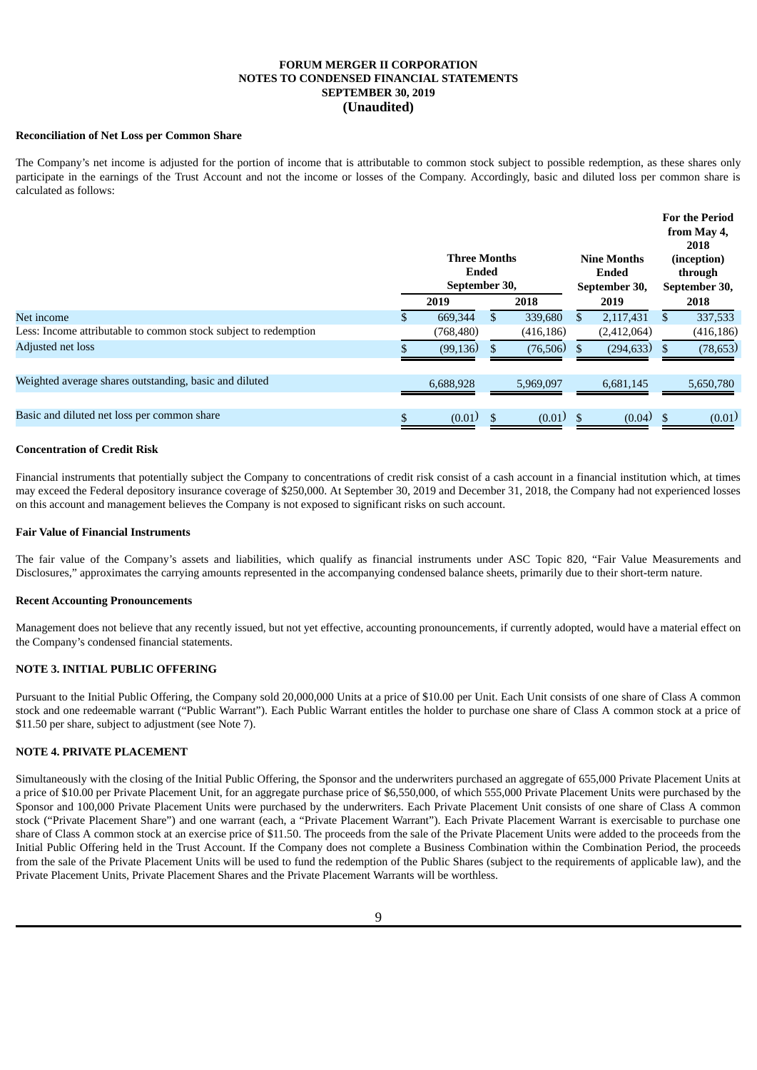### **Reconciliation of Net Loss per Common Share**

The Company's net income is adjusted for the portion of income that is attributable to common stock subject to possible redemption, as these shares only participate in the earnings of the Trust Account and not the income or losses of the Company. Accordingly, basic and diluted loss per common share is calculated as follows:

|                                                                 | <b>Three Months</b><br><b>Ended</b><br>September 30, |             |     | <b>Nine Months</b><br>Ended<br>September 30, | <b>For the Period</b><br>from May 4,<br>2018<br>(inception)<br>through<br>September 30, |
|-----------------------------------------------------------------|------------------------------------------------------|-------------|-----|----------------------------------------------|-----------------------------------------------------------------------------------------|
|                                                                 | 2019                                                 | 2018        |     | 2019                                         | 2018                                                                                    |
| Net income                                                      | 669,344                                              | 339,680     | \$. | 2,117,431                                    | 337,533                                                                                 |
| Less: Income attributable to common stock subject to redemption | (768, 480)                                           | (416, 186)  |     | (2,412,064)                                  | (416, 186)                                                                              |
| Adjusted net loss                                               | (99, 136)                                            | (76,506)    |     | (294, 633)                                   | (78, 653)                                                                               |
| Weighted average shares outstanding, basic and diluted          | 6.688.928                                            | 5.969.097   |     | 6,681,145                                    | 5,650,780                                                                               |
| Basic and diluted net loss per common share                     | \$<br>(0.01)                                         | $(0.01)$ \$ |     | $(0.04)$ \$                                  | (0.01)                                                                                  |

### **Concentration of Credit Risk**

Financial instruments that potentially subject the Company to concentrations of credit risk consist of a cash account in a financial institution which, at times may exceed the Federal depository insurance coverage of \$250,000. At September 30, 2019 and December 31, 2018, the Company had not experienced losses on this account and management believes the Company is not exposed to significant risks on such account.

### **Fair Value of Financial Instruments**

The fair value of the Company's assets and liabilities, which qualify as financial instruments under ASC Topic 820, "Fair Value Measurements and Disclosures," approximates the carrying amounts represented in the accompanying condensed balance sheets, primarily due to their short-term nature.

#### **Recent Accounting Pronouncements**

Management does not believe that any recently issued, but not yet effective, accounting pronouncements, if currently adopted, would have a material effect on the Company's condensed financial statements.

# **NOTE 3. INITIAL PUBLIC OFFERING**

Pursuant to the Initial Public Offering, the Company sold 20,000,000 Units at a price of \$10.00 per Unit. Each Unit consists of one share of Class A common stock and one redeemable warrant ("Public Warrant"). Each Public Warrant entitles the holder to purchase one share of Class A common stock at a price of \$11.50 per share, subject to adjustment (see Note 7).

#### **NOTE 4. PRIVATE PLACEMENT**

Simultaneously with the closing of the Initial Public Offering, the Sponsor and the underwriters purchased an aggregate of 655,000 Private Placement Units at a price of \$10.00 per Private Placement Unit, for an aggregate purchase price of \$6,550,000, of which 555,000 Private Placement Units were purchased by the Sponsor and 100,000 Private Placement Units were purchased by the underwriters. Each Private Placement Unit consists of one share of Class A common stock ("Private Placement Share") and one warrant (each, a "Private Placement Warrant"). Each Private Placement Warrant is exercisable to purchase one share of Class A common stock at an exercise price of \$11.50. The proceeds from the sale of the Private Placement Units were added to the proceeds from the Initial Public Offering held in the Trust Account. If the Company does not complete a Business Combination within the Combination Period, the proceeds from the sale of the Private Placement Units will be used to fund the redemption of the Public Shares (subject to the requirements of applicable law), and the Private Placement Units, Private Placement Shares and the Private Placement Warrants will be worthless.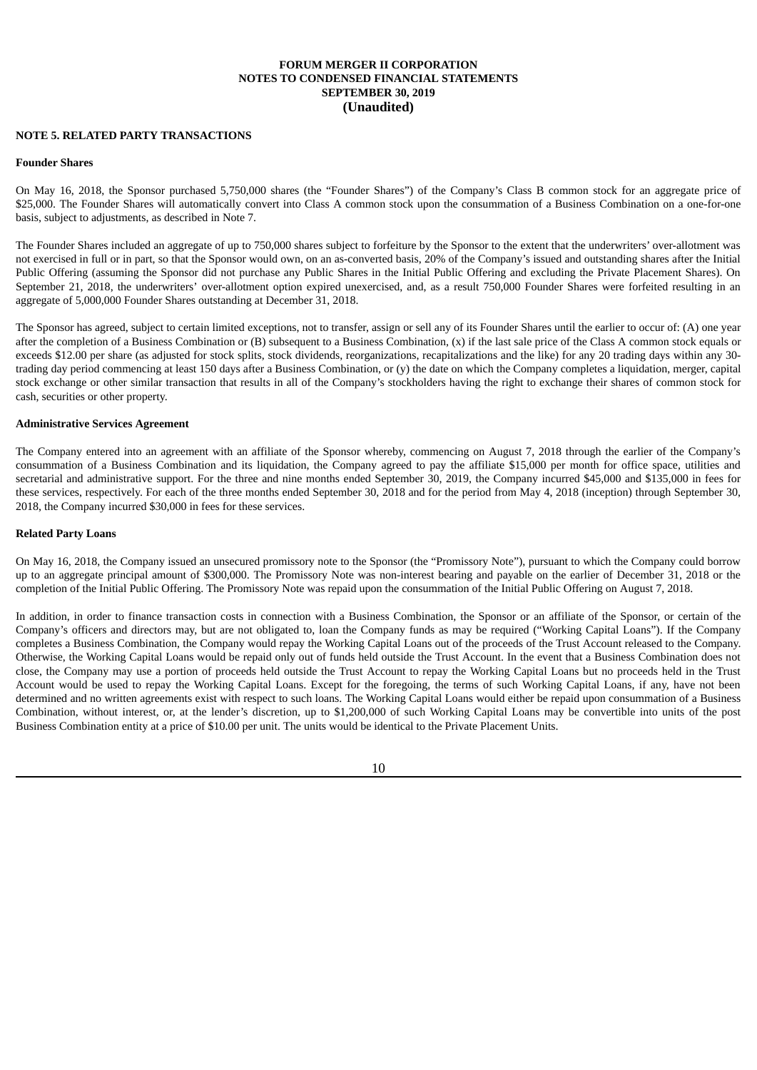### **NOTE 5. RELATED PARTY TRANSACTIONS**

#### **Founder Shares**

On May 16, 2018, the Sponsor purchased 5,750,000 shares (the "Founder Shares") of the Company's Class B common stock for an aggregate price of \$25,000. The Founder Shares will automatically convert into Class A common stock upon the consummation of a Business Combination on a one-for-one basis, subject to adjustments, as described in Note 7.

The Founder Shares included an aggregate of up to 750,000 shares subject to forfeiture by the Sponsor to the extent that the underwriters' over-allotment was not exercised in full or in part, so that the Sponsor would own, on an as-converted basis, 20% of the Company's issued and outstanding shares after the Initial Public Offering (assuming the Sponsor did not purchase any Public Shares in the Initial Public Offering and excluding the Private Placement Shares). On September 21, 2018, the underwriters' over-allotment option expired unexercised, and, as a result 750,000 Founder Shares were forfeited resulting in an aggregate of 5,000,000 Founder Shares outstanding at December 31, 2018.

The Sponsor has agreed, subject to certain limited exceptions, not to transfer, assign or sell any of its Founder Shares until the earlier to occur of: (A) one year after the completion of a Business Combination or (B) subsequent to a Business Combination, (x) if the last sale price of the Class A common stock equals or exceeds \$12.00 per share (as adjusted for stock splits, stock dividends, reorganizations, recapitalizations and the like) for any 20 trading days within any 30 trading day period commencing at least 150 days after a Business Combination, or (y) the date on which the Company completes a liquidation, merger, capital stock exchange or other similar transaction that results in all of the Company's stockholders having the right to exchange their shares of common stock for cash, securities or other property.

### **Administrative Services Agreement**

The Company entered into an agreement with an affiliate of the Sponsor whereby, commencing on August 7, 2018 through the earlier of the Company's consummation of a Business Combination and its liquidation, the Company agreed to pay the affiliate \$15,000 per month for office space, utilities and secretarial and administrative support. For the three and nine months ended September 30, 2019, the Company incurred \$45,000 and \$135,000 in fees for these services, respectively. For each of the three months ended September 30, 2018 and for the period from May 4, 2018 (inception) through September 30, 2018, the Company incurred \$30,000 in fees for these services.

#### **Related Party Loans**

On May 16, 2018, the Company issued an unsecured promissory note to the Sponsor (the "Promissory Note"), pursuant to which the Company could borrow up to an aggregate principal amount of \$300,000. The Promissory Note was non-interest bearing and payable on the earlier of December 31, 2018 or the completion of the Initial Public Offering. The Promissory Note was repaid upon the consummation of the Initial Public Offering on August 7, 2018.

In addition, in order to finance transaction costs in connection with a Business Combination, the Sponsor or an affiliate of the Sponsor, or certain of the Company's officers and directors may, but are not obligated to, loan the Company funds as may be required ("Working Capital Loans"). If the Company completes a Business Combination, the Company would repay the Working Capital Loans out of the proceeds of the Trust Account released to the Company. Otherwise, the Working Capital Loans would be repaid only out of funds held outside the Trust Account. In the event that a Business Combination does not close, the Company may use a portion of proceeds held outside the Trust Account to repay the Working Capital Loans but no proceeds held in the Trust Account would be used to repay the Working Capital Loans. Except for the foregoing, the terms of such Working Capital Loans, if any, have not been determined and no written agreements exist with respect to such loans. The Working Capital Loans would either be repaid upon consummation of a Business Combination, without interest, or, at the lender's discretion, up to \$1,200,000 of such Working Capital Loans may be convertible into units of the post Business Combination entity at a price of \$10.00 per unit. The units would be identical to the Private Placement Units.

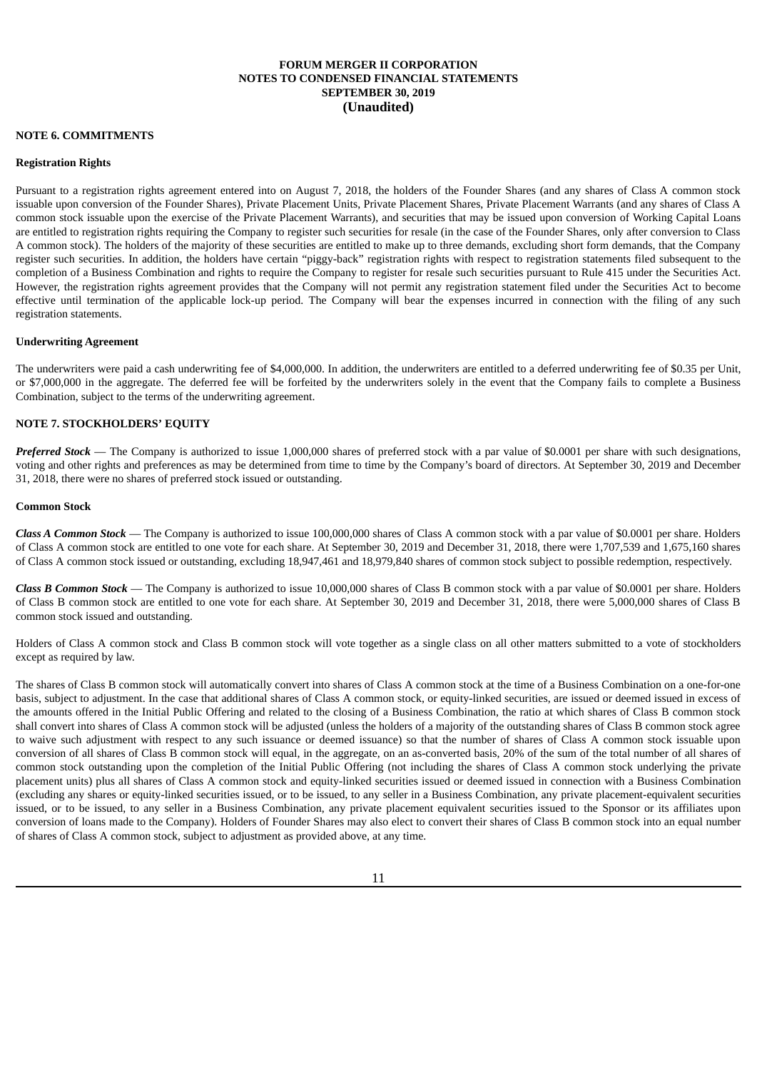#### **NOTE 6. COMMITMENTS**

### **Registration Rights**

Pursuant to a registration rights agreement entered into on August 7, 2018, the holders of the Founder Shares (and any shares of Class A common stock issuable upon conversion of the Founder Shares), Private Placement Units, Private Placement Shares, Private Placement Warrants (and any shares of Class A common stock issuable upon the exercise of the Private Placement Warrants), and securities that may be issued upon conversion of Working Capital Loans are entitled to registration rights requiring the Company to register such securities for resale (in the case of the Founder Shares, only after conversion to Class A common stock). The holders of the majority of these securities are entitled to make up to three demands, excluding short form demands, that the Company register such securities. In addition, the holders have certain "piggy-back" registration rights with respect to registration statements filed subsequent to the completion of a Business Combination and rights to require the Company to register for resale such securities pursuant to Rule 415 under the Securities Act. However, the registration rights agreement provides that the Company will not permit any registration statement filed under the Securities Act to become effective until termination of the applicable lock-up period. The Company will bear the expenses incurred in connection with the filing of any such registration statements.

#### **Underwriting Agreement**

The underwriters were paid a cash underwriting fee of \$4,000,000. In addition, the underwriters are entitled to a deferred underwriting fee of \$0.35 per Unit, or \$7,000,000 in the aggregate. The deferred fee will be forfeited by the underwriters solely in the event that the Company fails to complete a Business Combination, subject to the terms of the underwriting agreement.

### **NOTE 7. STOCKHOLDERS' EQUITY**

*Preferred Stock* — The Company is authorized to issue 1,000,000 shares of preferred stock with a par value of \$0.0001 per share with such designations, voting and other rights and preferences as may be determined from time to time by the Company's board of directors. At September 30, 2019 and December 31, 2018, there were no shares of preferred stock issued or outstanding.

### **Common Stock**

*Class A Common Stock* — The Company is authorized to issue 100,000,000 shares of Class A common stock with a par value of \$0.0001 per share. Holders of Class A common stock are entitled to one vote for each share. At September 30, 2019 and December 31, 2018, there were 1,707,539 and 1,675,160 shares of Class A common stock issued or outstanding, excluding 18,947,461 and 18,979,840 shares of common stock subject to possible redemption, respectively.

*Class B Common Stock* — The Company is authorized to issue 10,000,000 shares of Class B common stock with a par value of \$0.0001 per share. Holders of Class B common stock are entitled to one vote for each share. At September 30, 2019 and December 31, 2018, there were 5,000,000 shares of Class B common stock issued and outstanding.

Holders of Class A common stock and Class B common stock will vote together as a single class on all other matters submitted to a vote of stockholders except as required by law.

The shares of Class B common stock will automatically convert into shares of Class A common stock at the time of a Business Combination on a one-for-one basis, subject to adjustment. In the case that additional shares of Class A common stock, or equity-linked securities, are issued or deemed issued in excess of the amounts offered in the Initial Public Offering and related to the closing of a Business Combination, the ratio at which shares of Class B common stock shall convert into shares of Class A common stock will be adjusted (unless the holders of a majority of the outstanding shares of Class B common stock agree to waive such adjustment with respect to any such issuance or deemed issuance) so that the number of shares of Class A common stock issuable upon conversion of all shares of Class B common stock will equal, in the aggregate, on an as-converted basis, 20% of the sum of the total number of all shares of common stock outstanding upon the completion of the Initial Public Offering (not including the shares of Class A common stock underlying the private placement units) plus all shares of Class A common stock and equity-linked securities issued or deemed issued in connection with a Business Combination (excluding any shares or equity-linked securities issued, or to be issued, to any seller in a Business Combination, any private placement-equivalent securities issued, or to be issued, to any seller in a Business Combination, any private placement equivalent securities issued to the Sponsor or its affiliates upon conversion of loans made to the Company). Holders of Founder Shares may also elect to convert their shares of Class B common stock into an equal number of shares of Class A common stock, subject to adjustment as provided above, at any time.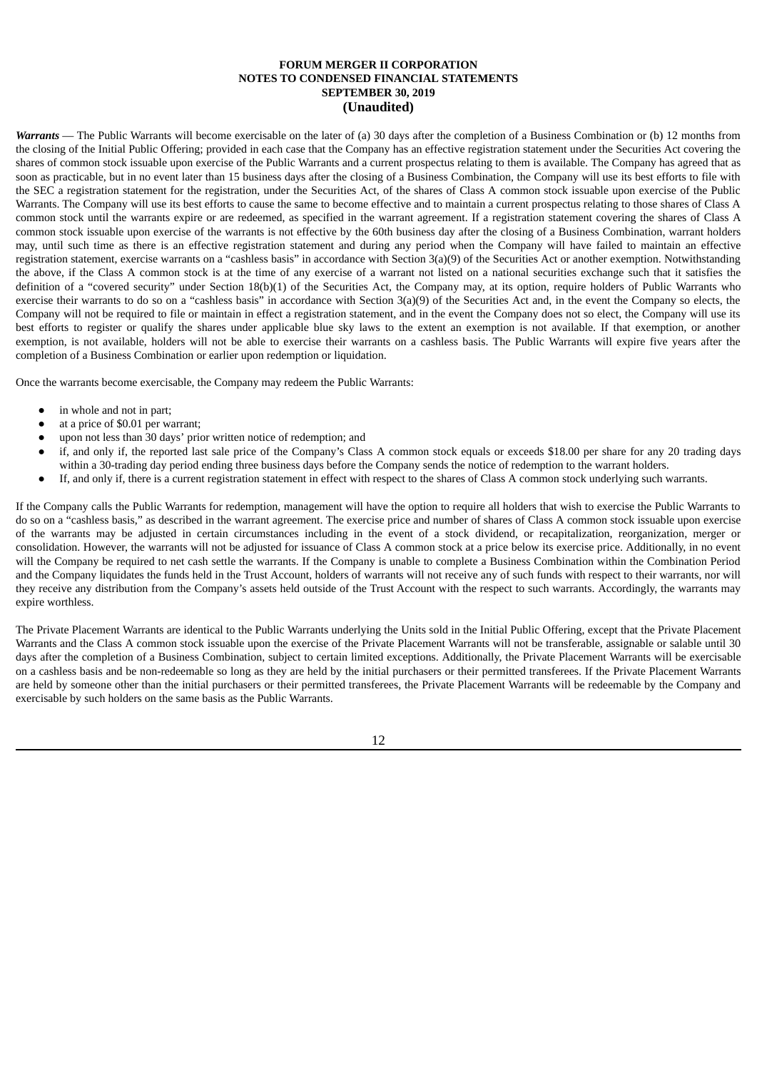*Warrants* — The Public Warrants will become exercisable on the later of (a) 30 days after the completion of a Business Combination or (b) 12 months from the closing of the Initial Public Offering; provided in each case that the Company has an effective registration statement under the Securities Act covering the shares of common stock issuable upon exercise of the Public Warrants and a current prospectus relating to them is available. The Company has agreed that as soon as practicable, but in no event later than 15 business days after the closing of a Business Combination, the Company will use its best efforts to file with the SEC a registration statement for the registration, under the Securities Act, of the shares of Class A common stock issuable upon exercise of the Public Warrants. The Company will use its best efforts to cause the same to become effective and to maintain a current prospectus relating to those shares of Class A common stock until the warrants expire or are redeemed, as specified in the warrant agreement. If a registration statement covering the shares of Class A common stock issuable upon exercise of the warrants is not effective by the 60th business day after the closing of a Business Combination, warrant holders may, until such time as there is an effective registration statement and during any period when the Company will have failed to maintain an effective registration statement, exercise warrants on a "cashless basis" in accordance with Section 3(a)(9) of the Securities Act or another exemption. Notwithstanding the above, if the Class A common stock is at the time of any exercise of a warrant not listed on a national securities exchange such that it satisfies the definition of a "covered security" under Section 18(b)(1) of the Securities Act, the Company may, at its option, require holders of Public Warrants who exercise their warrants to do so on a "cashless basis" in accordance with Section 3(a)(9) of the Securities Act and, in the event the Company so elects, the Company will not be required to file or maintain in effect a registration statement, and in the event the Company does not so elect, the Company will use its best efforts to register or qualify the shares under applicable blue sky laws to the extent an exemption is not available. If that exemption, or another exemption, is not available, holders will not be able to exercise their warrants on a cashless basis. The Public Warrants will expire five years after the completion of a Business Combination or earlier upon redemption or liquidation.

Once the warrants become exercisable, the Company may redeem the Public Warrants:

- in whole and not in part;
- at a price of \$0.01 per warrant;
- upon not less than 30 days' prior written notice of redemption; and
- if, and only if, the reported last sale price of the Company's Class A common stock equals or exceeds \$18.00 per share for any 20 trading days within a 30-trading day period ending three business days before the Company sends the notice of redemption to the warrant holders.
- If, and only if, there is a current registration statement in effect with respect to the shares of Class A common stock underlying such warrants.

If the Company calls the Public Warrants for redemption, management will have the option to require all holders that wish to exercise the Public Warrants to do so on a "cashless basis," as described in the warrant agreement. The exercise price and number of shares of Class A common stock issuable upon exercise of the warrants may be adjusted in certain circumstances including in the event of a stock dividend, or recapitalization, reorganization, merger or consolidation. However, the warrants will not be adjusted for issuance of Class A common stock at a price below its exercise price. Additionally, in no event will the Company be required to net cash settle the warrants. If the Company is unable to complete a Business Combination within the Combination Period and the Company liquidates the funds held in the Trust Account, holders of warrants will not receive any of such funds with respect to their warrants, nor will they receive any distribution from the Company's assets held outside of the Trust Account with the respect to such warrants. Accordingly, the warrants may expire worthless.

The Private Placement Warrants are identical to the Public Warrants underlying the Units sold in the Initial Public Offering, except that the Private Placement Warrants and the Class A common stock issuable upon the exercise of the Private Placement Warrants will not be transferable, assignable or salable until 30 days after the completion of a Business Combination, subject to certain limited exceptions. Additionally, the Private Placement Warrants will be exercisable on a cashless basis and be non-redeemable so long as they are held by the initial purchasers or their permitted transferees. If the Private Placement Warrants are held by someone other than the initial purchasers or their permitted transferees, the Private Placement Warrants will be redeemable by the Company and exercisable by such holders on the same basis as the Public Warrants.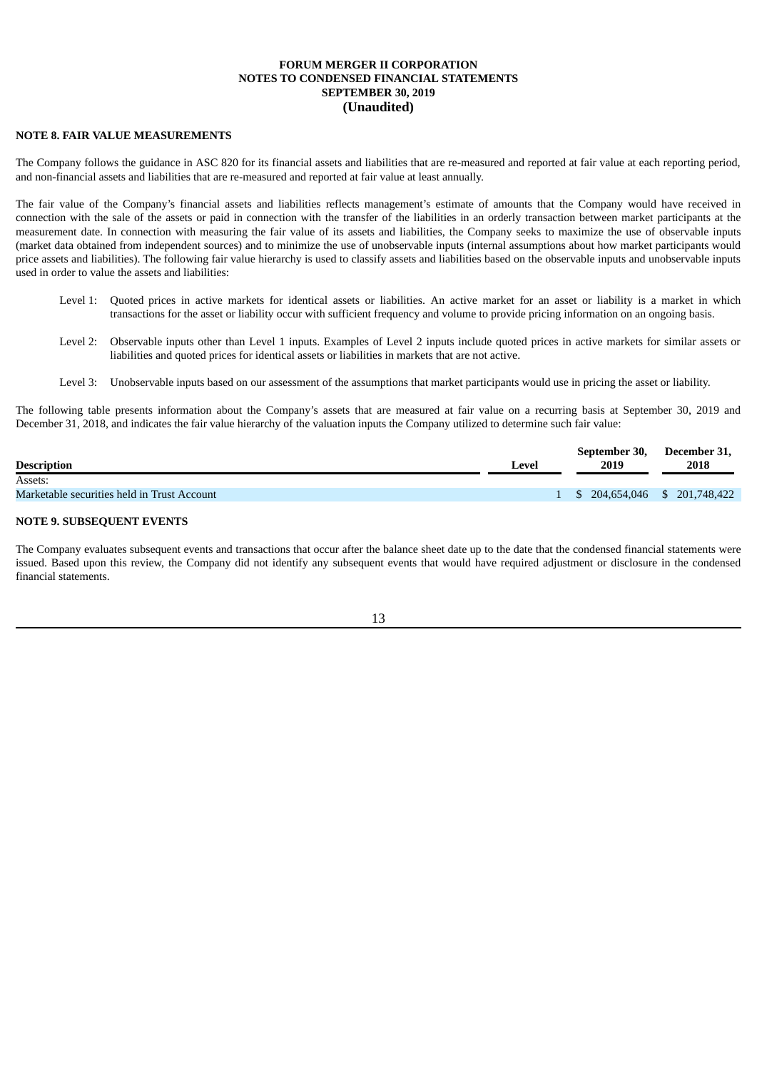### **NOTE 8. FAIR VALUE MEASUREMENTS**

The Company follows the guidance in ASC 820 for its financial assets and liabilities that are re-measured and reported at fair value at each reporting period, and non-financial assets and liabilities that are re-measured and reported at fair value at least annually.

The fair value of the Company's financial assets and liabilities reflects management's estimate of amounts that the Company would have received in connection with the sale of the assets or paid in connection with the transfer of the liabilities in an orderly transaction between market participants at the measurement date. In connection with measuring the fair value of its assets and liabilities, the Company seeks to maximize the use of observable inputs (market data obtained from independent sources) and to minimize the use of unobservable inputs (internal assumptions about how market participants would price assets and liabilities). The following fair value hierarchy is used to classify assets and liabilities based on the observable inputs and unobservable inputs used in order to value the assets and liabilities:

- Level 1: Quoted prices in active markets for identical assets or liabilities. An active market for an asset or liability is a market in which transactions for the asset or liability occur with sufficient frequency and volume to provide pricing information on an ongoing basis.
- Level 2: Observable inputs other than Level 1 inputs. Examples of Level 2 inputs include quoted prices in active markets for similar assets or liabilities and quoted prices for identical assets or liabilities in markets that are not active.
- Level 3: Unobservable inputs based on our assessment of the assumptions that market participants would use in pricing the asset or liability.

The following table presents information about the Company's assets that are measured at fair value on a recurring basis at September 30, 2019 and December 31, 2018, and indicates the fair value hierarchy of the valuation inputs the Company utilized to determine such fair value:

|                                             |       | September 30, December 31,      |      |
|---------------------------------------------|-------|---------------------------------|------|
| <b>Description</b>                          | Level | 2019                            | 2018 |
| Assets:                                     |       |                                 |      |
| Marketable securities held in Trust Account |       | 1 \$ 204,654,046 \$ 201,748,422 |      |
|                                             |       |                                 |      |

# **NOTE 9. SUBSEQUENT EVENTS**

The Company evaluates subsequent events and transactions that occur after the balance sheet date up to the date that the condensed financial statements were issued. Based upon this review, the Company did not identify any subsequent events that would have required adjustment or disclosure in the condensed financial statements.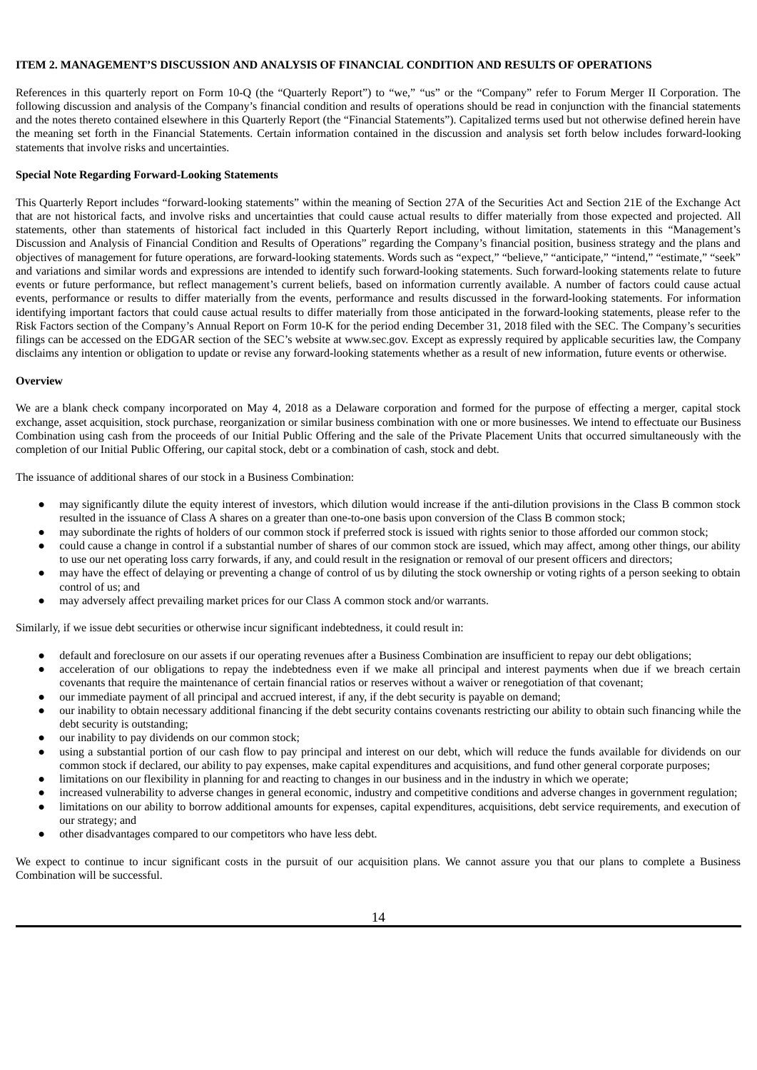# <span id="page-15-0"></span>**ITEM 2. MANAGEMENT'S DISCUSSION AND ANALYSIS OF FINANCIAL CONDITION AND RESULTS OF OPERATIONS**

References in this quarterly report on Form 10-Q (the "Quarterly Report") to "we," "us" or the "Company" refer to Forum Merger II Corporation. The following discussion and analysis of the Company's financial condition and results of operations should be read in conjunction with the financial statements and the notes thereto contained elsewhere in this Quarterly Report (the "Financial Statements"). Capitalized terms used but not otherwise defined herein have the meaning set forth in the Financial Statements. Certain information contained in the discussion and analysis set forth below includes forward-looking statements that involve risks and uncertainties.

## **Special Note Regarding Forward-Looking Statements**

This Quarterly Report includes "forward-looking statements" within the meaning of Section 27A of the Securities Act and Section 21E of the Exchange Act that are not historical facts, and involve risks and uncertainties that could cause actual results to differ materially from those expected and projected. All statements, other than statements of historical fact included in this Quarterly Report including, without limitation, statements in this "Management's Discussion and Analysis of Financial Condition and Results of Operations" regarding the Company's financial position, business strategy and the plans and objectives of management for future operations, are forward-looking statements. Words such as "expect," "believe," "anticipate," "intend," "estimate," "seek" and variations and similar words and expressions are intended to identify such forward-looking statements. Such forward-looking statements relate to future events or future performance, but reflect management's current beliefs, based on information currently available. A number of factors could cause actual events, performance or results to differ materially from the events, performance and results discussed in the forward-looking statements. For information identifying important factors that could cause actual results to differ materially from those anticipated in the forward-looking statements, please refer to the Risk Factors section of the Company's Annual Report on Form 10-K for the period ending December 31, 2018 filed with the SEC. The Company's securities filings can be accessed on the EDGAR section of the SEC's website at www.sec.gov. Except as expressly required by applicable securities law, the Company disclaims any intention or obligation to update or revise any forward-looking statements whether as a result of new information, future events or otherwise.

#### **Overview**

We are a blank check company incorporated on May 4, 2018 as a Delaware corporation and formed for the purpose of effecting a merger, capital stock exchange, asset acquisition, stock purchase, reorganization or similar business combination with one or more businesses. We intend to effectuate our Business Combination using cash from the proceeds of our Initial Public Offering and the sale of the Private Placement Units that occurred simultaneously with the completion of our Initial Public Offering, our capital stock, debt or a combination of cash, stock and debt.

The issuance of additional shares of our stock in a Business Combination:

- may significantly dilute the equity interest of investors, which dilution would increase if the anti-dilution provisions in the Class B common stock resulted in the issuance of Class A shares on a greater than one-to-one basis upon conversion of the Class B common stock;
- may subordinate the rights of holders of our common stock if preferred stock is issued with rights senior to those afforded our common stock;
- could cause a change in control if a substantial number of shares of our common stock are issued, which may affect, among other things, our ability to use our net operating loss carry forwards, if any, and could result in the resignation or removal of our present officers and directors;
- may have the effect of delaying or preventing a change of control of us by diluting the stock ownership or voting rights of a person seeking to obtain control of us; and
- may adversely affect prevailing market prices for our Class A common stock and/or warrants.

Similarly, if we issue debt securities or otherwise incur significant indebtedness, it could result in:

- default and foreclosure on our assets if our operating revenues after a Business Combination are insufficient to repay our debt obligations;
- acceleration of our obligations to repay the indebtedness even if we make all principal and interest payments when due if we breach certain covenants that require the maintenance of certain financial ratios or reserves without a waiver or renegotiation of that covenant;
- our immediate payment of all principal and accrued interest, if any, if the debt security is payable on demand;
- our inability to obtain necessary additional financing if the debt security contains covenants restricting our ability to obtain such financing while the debt security is outstanding;
- our inability to pay dividends on our common stock;
- using a substantial portion of our cash flow to pay principal and interest on our debt, which will reduce the funds available for dividends on our common stock if declared, our ability to pay expenses, make capital expenditures and acquisitions, and fund other general corporate purposes;
- limitations on our flexibility in planning for and reacting to changes in our business and in the industry in which we operate;
- increased vulnerability to adverse changes in general economic, industry and competitive conditions and adverse changes in government regulation;
- limitations on our ability to borrow additional amounts for expenses, capital expenditures, acquisitions, debt service requirements, and execution of our strategy; and
- other disadvantages compared to our competitors who have less debt.

We expect to continue to incur significant costs in the pursuit of our acquisition plans. We cannot assure you that our plans to complete a Business Combination will be successful.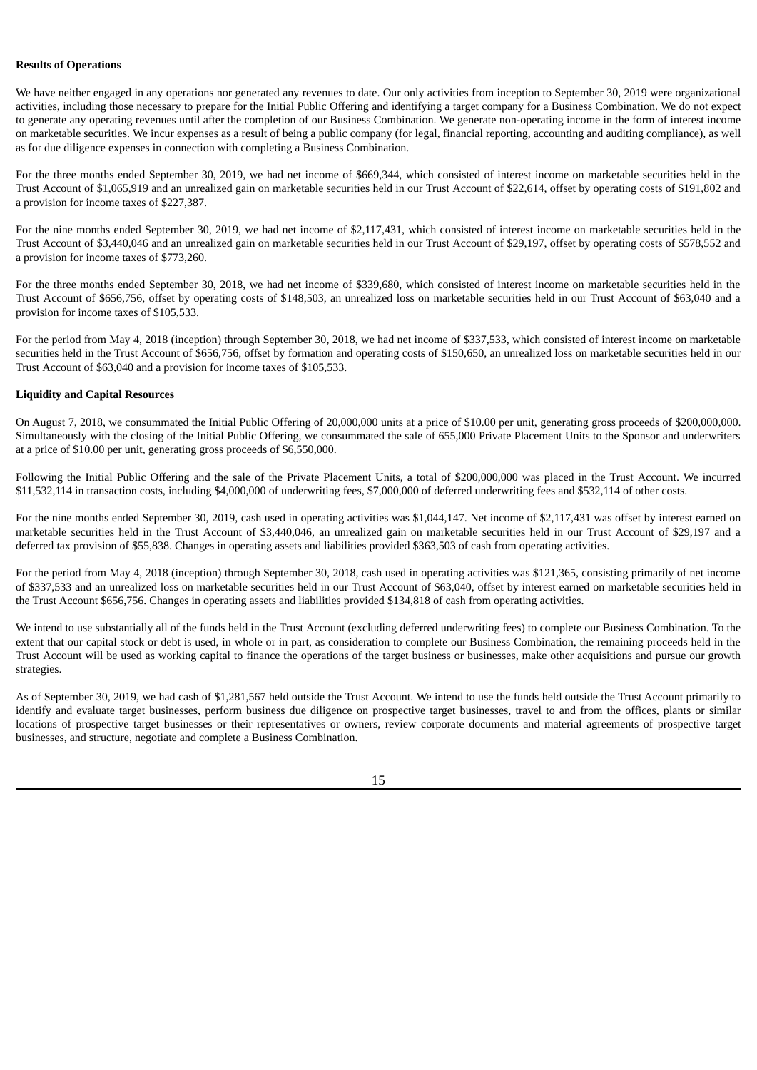### **Results of Operations**

We have neither engaged in any operations nor generated any revenues to date. Our only activities from inception to September 30, 2019 were organizational activities, including those necessary to prepare for the Initial Public Offering and identifying a target company for a Business Combination. We do not expect to generate any operating revenues until after the completion of our Business Combination. We generate non-operating income in the form of interest income on marketable securities. We incur expenses as a result of being a public company (for legal, financial reporting, accounting and auditing compliance), as well as for due diligence expenses in connection with completing a Business Combination.

For the three months ended September 30, 2019, we had net income of \$669,344, which consisted of interest income on marketable securities held in the Trust Account of \$1,065,919 and an unrealized gain on marketable securities held in our Trust Account of \$22,614, offset by operating costs of \$191,802 and a provision for income taxes of \$227,387.

For the nine months ended September 30, 2019, we had net income of \$2,117,431, which consisted of interest income on marketable securities held in the Trust Account of \$3,440,046 and an unrealized gain on marketable securities held in our Trust Account of \$29,197, offset by operating costs of \$578,552 and a provision for income taxes of \$773,260.

For the three months ended September 30, 2018, we had net income of \$339,680, which consisted of interest income on marketable securities held in the Trust Account of \$656,756, offset by operating costs of \$148,503, an unrealized loss on marketable securities held in our Trust Account of \$63,040 and a provision for income taxes of \$105,533.

For the period from May 4, 2018 (inception) through September 30, 2018, we had net income of \$337,533, which consisted of interest income on marketable securities held in the Trust Account of \$656,756, offset by formation and operating costs of \$150,650, an unrealized loss on marketable securities held in our Trust Account of \$63,040 and a provision for income taxes of \$105,533.

### **Liquidity and Capital Resources**

On August 7, 2018, we consummated the Initial Public Offering of 20,000,000 units at a price of \$10.00 per unit, generating gross proceeds of \$200,000,000. Simultaneously with the closing of the Initial Public Offering, we consummated the sale of 655,000 Private Placement Units to the Sponsor and underwriters at a price of \$10.00 per unit, generating gross proceeds of \$6,550,000.

Following the Initial Public Offering and the sale of the Private Placement Units, a total of \$200,000,000 was placed in the Trust Account. We incurred \$11,532,114 in transaction costs, including \$4,000,000 of underwriting fees, \$7,000,000 of deferred underwriting fees and \$532,114 of other costs.

For the nine months ended September 30, 2019, cash used in operating activities was \$1,044,147. Net income of \$2,117,431 was offset by interest earned on marketable securities held in the Trust Account of \$3,440,046, an unrealized gain on marketable securities held in our Trust Account of \$29,197 and a deferred tax provision of \$55,838. Changes in operating assets and liabilities provided \$363,503 of cash from operating activities.

For the period from May 4, 2018 (inception) through September 30, 2018, cash used in operating activities was \$121,365, consisting primarily of net income of \$337,533 and an unrealized loss on marketable securities held in our Trust Account of \$63,040, offset by interest earned on marketable securities held in the Trust Account \$656,756. Changes in operating assets and liabilities provided \$134,818 of cash from operating activities.

We intend to use substantially all of the funds held in the Trust Account (excluding deferred underwriting fees) to complete our Business Combination. To the extent that our capital stock or debt is used, in whole or in part, as consideration to complete our Business Combination, the remaining proceeds held in the Trust Account will be used as working capital to finance the operations of the target business or businesses, make other acquisitions and pursue our growth strategies.

As of September 30, 2019, we had cash of \$1,281,567 held outside the Trust Account. We intend to use the funds held outside the Trust Account primarily to identify and evaluate target businesses, perform business due diligence on prospective target businesses, travel to and from the offices, plants or similar locations of prospective target businesses or their representatives or owners, review corporate documents and material agreements of prospective target businesses, and structure, negotiate and complete a Business Combination.

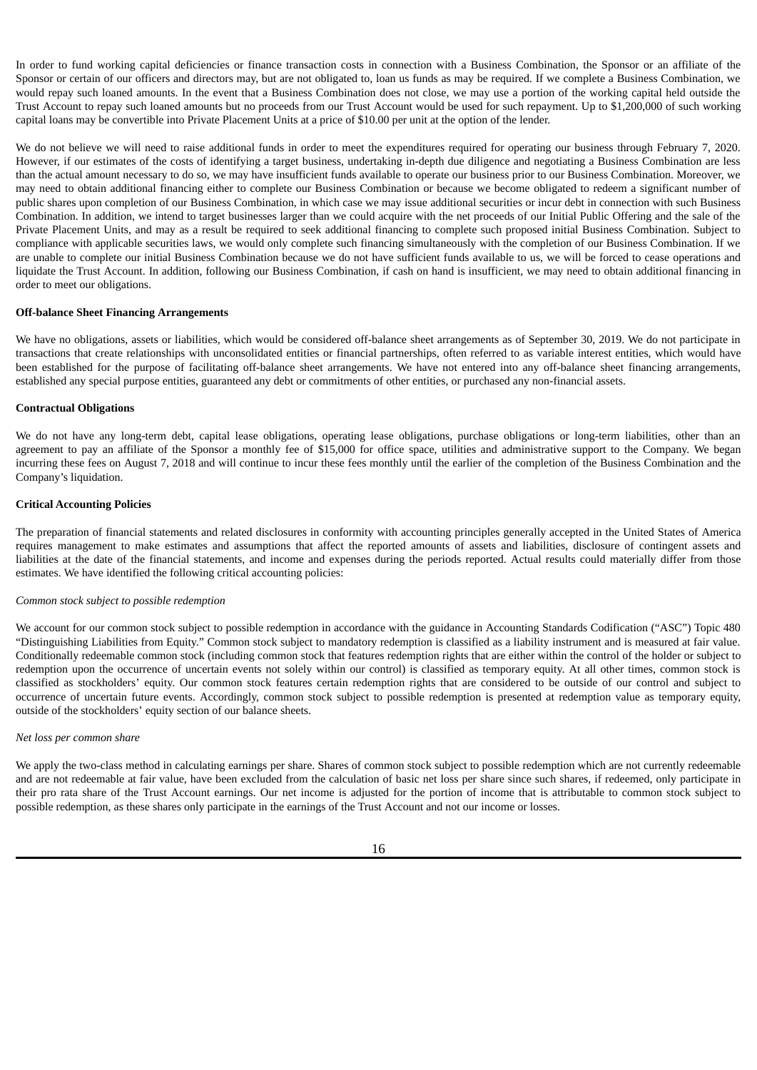In order to fund working capital deficiencies or finance transaction costs in connection with a Business Combination, the Sponsor or an affiliate of the Sponsor or certain of our officers and directors may, but are not obligated to, loan us funds as may be required. If we complete a Business Combination, we would repay such loaned amounts. In the event that a Business Combination does not close, we may use a portion of the working capital held outside the Trust Account to repay such loaned amounts but no proceeds from our Trust Account would be used for such repayment. Up to \$1,200,000 of such working capital loans may be convertible into Private Placement Units at a price of \$10.00 per unit at the option of the lender.

We do not believe we will need to raise additional funds in order to meet the expenditures required for operating our business through February 7, 2020. However, if our estimates of the costs of identifying a target business, undertaking in-depth due diligence and negotiating a Business Combination are less than the actual amount necessary to do so, we may have insufficient funds available to operate our business prior to our Business Combination. Moreover, we may need to obtain additional financing either to complete our Business Combination or because we become obligated to redeem a significant number of public shares upon completion of our Business Combination, in which case we may issue additional securities or incur debt in connection with such Business Combination. In addition, we intend to target businesses larger than we could acquire with the net proceeds of our Initial Public Offering and the sale of the Private Placement Units, and may as a result be required to seek additional financing to complete such proposed initial Business Combination. Subject to compliance with applicable securities laws, we would only complete such financing simultaneously with the completion of our Business Combination. If we are unable to complete our initial Business Combination because we do not have sufficient funds available to us, we will be forced to cease operations and liquidate the Trust Account. In addition, following our Business Combination, if cash on hand is insufficient, we may need to obtain additional financing in order to meet our obligations.

### **Off-balance Sheet Financing Arrangements**

We have no obligations, assets or liabilities, which would be considered off-balance sheet arrangements as of September 30, 2019. We do not participate in transactions that create relationships with unconsolidated entities or financial partnerships, often referred to as variable interest entities, which would have been established for the purpose of facilitating off-balance sheet arrangements. We have not entered into any off-balance sheet financing arrangements, established any special purpose entities, guaranteed any debt or commitments of other entities, or purchased any non-financial assets.

### **Contractual Obligations**

We do not have any long-term debt, capital lease obligations, operating lease obligations, purchase obligations or long-term liabilities, other than an agreement to pay an affiliate of the Sponsor a monthly fee of \$15,000 for office space, utilities and administrative support to the Company. We began incurring these fees on August 7, 2018 and will continue to incur these fees monthly until the earlier of the completion of the Business Combination and the Company's liquidation.

#### **Critical Accounting Policies**

The preparation of financial statements and related disclosures in conformity with accounting principles generally accepted in the United States of America requires management to make estimates and assumptions that affect the reported amounts of assets and liabilities, disclosure of contingent assets and liabilities at the date of the financial statements, and income and expenses during the periods reported. Actual results could materially differ from those estimates. We have identified the following critical accounting policies:

#### *Common stock subject to possible redemption*

We account for our common stock subject to possible redemption in accordance with the guidance in Accounting Standards Codification ("ASC") Topic 480 "Distinguishing Liabilities from Equity." Common stock subject to mandatory redemption is classified as a liability instrument and is measured at fair value. Conditionally redeemable common stock (including common stock that features redemption rights that are either within the control of the holder or subject to redemption upon the occurrence of uncertain events not solely within our control) is classified as temporary equity. At all other times, common stock is classified as stockholders' equity. Our common stock features certain redemption rights that are considered to be outside of our control and subject to occurrence of uncertain future events. Accordingly, common stock subject to possible redemption is presented at redemption value as temporary equity, outside of the stockholders' equity section of our balance sheets.

#### *Net loss per common share*

We apply the two-class method in calculating earnings per share. Shares of common stock subject to possible redemption which are not currently redeemable and are not redeemable at fair value, have been excluded from the calculation of basic net loss per share since such shares, if redeemed, only participate in their pro rata share of the Trust Account earnings. Our net income is adjusted for the portion of income that is attributable to common stock subject to possible redemption, as these shares only participate in the earnings of the Trust Account and not our income or losses.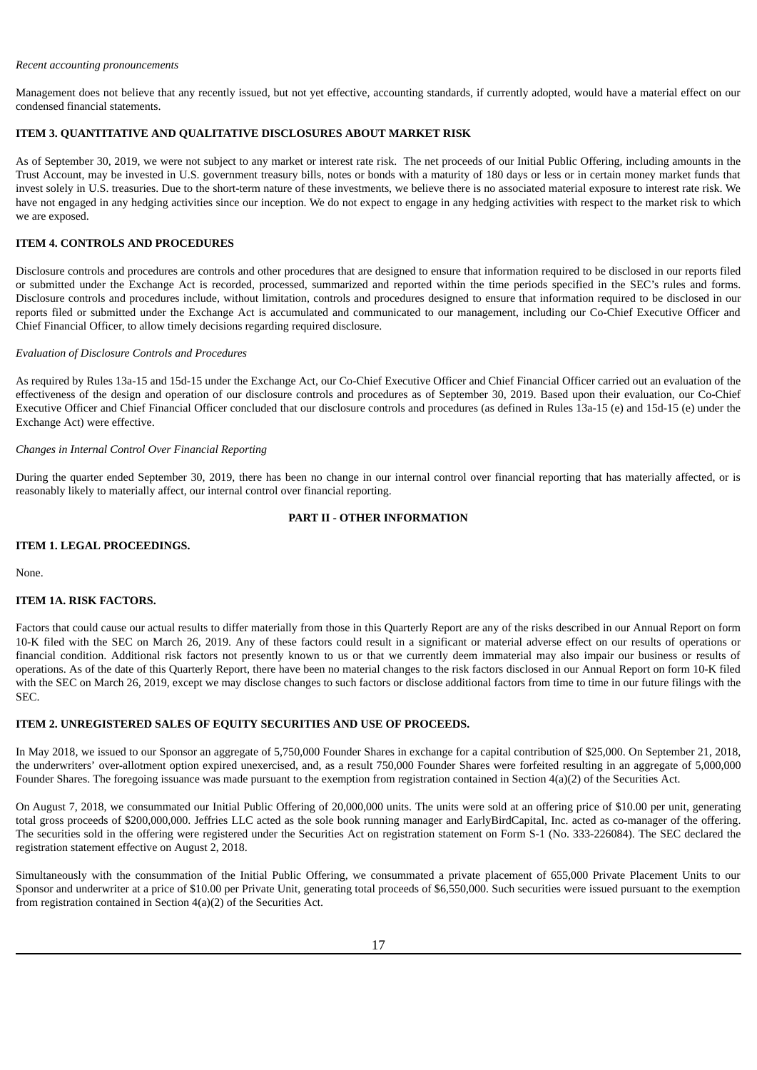### *Recent accounting pronouncements*

Management does not believe that any recently issued, but not yet effective, accounting standards, if currently adopted, would have a material effect on our condensed financial statements.

# <span id="page-18-0"></span>**ITEM 3. QUANTITATIVE AND QUALITATIVE DISCLOSURES ABOUT MARKET RISK**

As of September 30, 2019, we were not subject to any market or interest rate risk. The net proceeds of our Initial Public Offering, including amounts in the Trust Account, may be invested in U.S. government treasury bills, notes or bonds with a maturity of 180 days or less or in certain money market funds that invest solely in U.S. treasuries. Due to the short-term nature of these investments, we believe there is no associated material exposure to interest rate risk. We have not engaged in any hedging activities since our inception. We do not expect to engage in any hedging activities with respect to the market risk to which we are exposed.

# <span id="page-18-1"></span>**ITEM 4. CONTROLS AND PROCEDURES**

Disclosure controls and procedures are controls and other procedures that are designed to ensure that information required to be disclosed in our reports filed or submitted under the Exchange Act is recorded, processed, summarized and reported within the time periods specified in the SEC's rules and forms. Disclosure controls and procedures include, without limitation, controls and procedures designed to ensure that information required to be disclosed in our reports filed or submitted under the Exchange Act is accumulated and communicated to our management, including our Co-Chief Executive Officer and Chief Financial Officer, to allow timely decisions regarding required disclosure.

### *Evaluation of Disclosure Controls and Procedures*

As required by Rules 13a-15 and 15d-15 under the Exchange Act, our Co-Chief Executive Officer and Chief Financial Officer carried out an evaluation of the effectiveness of the design and operation of our disclosure controls and procedures as of September 30, 2019. Based upon their evaluation, our Co-Chief Executive Officer and Chief Financial Officer concluded that our disclosure controls and procedures (as defined in Rules 13a-15 (e) and 15d-15 (e) under the Exchange Act) were effective.

### *Changes in Internal Control Over Financial Reporting*

During the quarter ended September 30, 2019, there has been no change in our internal control over financial reporting that has materially affected, or is reasonably likely to materially affect, our internal control over financial reporting.

### **PART II - OTHER INFORMATION**

### <span id="page-18-3"></span><span id="page-18-2"></span>**ITEM 1. LEGAL PROCEEDINGS.**

None.

# <span id="page-18-4"></span>**ITEM 1A. RISK FACTORS.**

Factors that could cause our actual results to differ materially from those in this Quarterly Report are any of the risks described in our Annual Report on form 10-K filed with the SEC on March 26, 2019. Any of these factors could result in a significant or material adverse effect on our results of operations or financial condition. Additional risk factors not presently known to us or that we currently deem immaterial may also impair our business or results of operations. As of the date of this Quarterly Report, there have been no material changes to the risk factors disclosed in our Annual Report on form 10-K filed with the SEC on March 26, 2019, except we may disclose changes to such factors or disclose additional factors from time to time in our future filings with the SEC.

#### <span id="page-18-5"></span>**ITEM 2. UNREGISTERED SALES OF EQUITY SECURITIES AND USE OF PROCEEDS.**

In May 2018, we issued to our Sponsor an aggregate of 5,750,000 Founder Shares in exchange for a capital contribution of \$25,000. On September 21, 2018, the underwriters' over-allotment option expired unexercised, and, as a result 750,000 Founder Shares were forfeited resulting in an aggregate of 5,000,000 Founder Shares. The foregoing issuance was made pursuant to the exemption from registration contained in Section 4(a)(2) of the Securities Act.

On August 7, 2018, we consummated our Initial Public Offering of 20,000,000 units. The units were sold at an offering price of \$10.00 per unit, generating total gross proceeds of \$200,000,000. Jeffries LLC acted as the sole book running manager and EarlyBirdCapital, Inc. acted as co-manager of the offering. The securities sold in the offering were registered under the Securities Act on registration statement on Form S-1 (No. 333-226084). The SEC declared the registration statement effective on August 2, 2018.

Simultaneously with the consummation of the Initial Public Offering, we consummated a private placement of 655,000 Private Placement Units to our Sponsor and underwriter at a price of \$10.00 per Private Unit, generating total proceeds of \$6,550,000. Such securities were issued pursuant to the exemption from registration contained in Section 4(a)(2) of the Securities Act.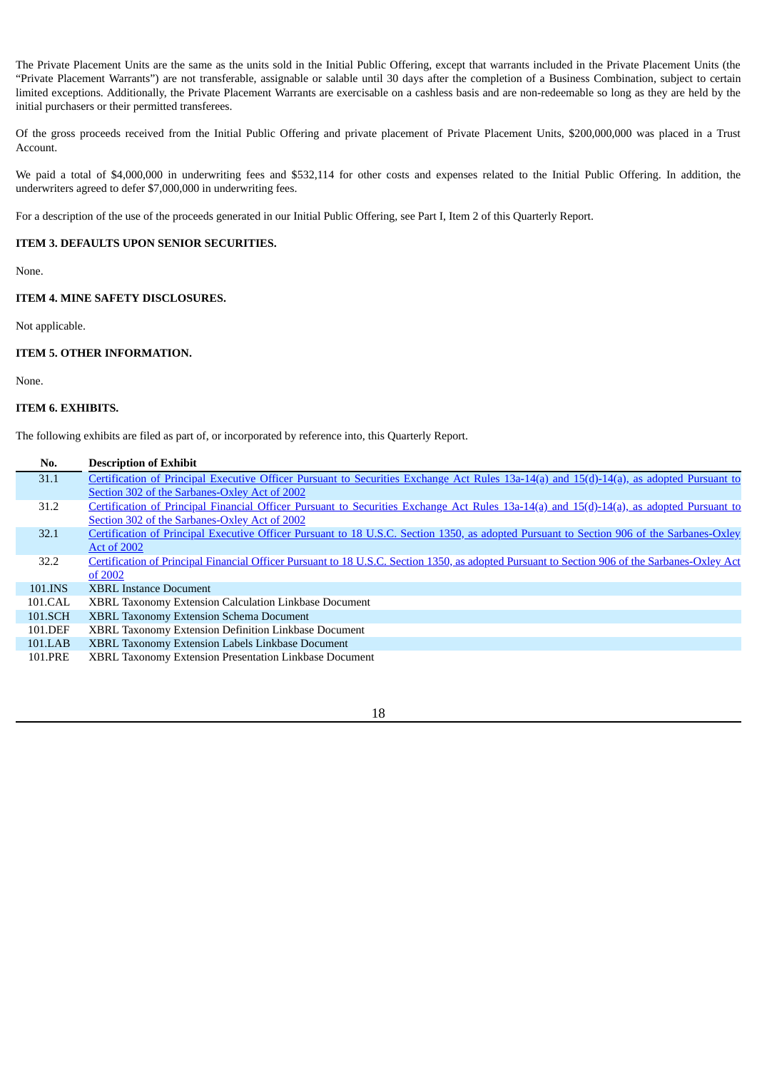The Private Placement Units are the same as the units sold in the Initial Public Offering, except that warrants included in the Private Placement Units (the "Private Placement Warrants") are not transferable, assignable or salable until 30 days after the completion of a Business Combination, subject to certain limited exceptions. Additionally, the Private Placement Warrants are exercisable on a cashless basis and are non-redeemable so long as they are held by the initial purchasers or their permitted transferees.

Of the gross proceeds received from the Initial Public Offering and private placement of Private Placement Units, \$200,000,000 was placed in a Trust Account.

We paid a total of \$4,000,000 in underwriting fees and \$532,114 for other costs and expenses related to the Initial Public Offering. In addition, the underwriters agreed to defer \$7,000,000 in underwriting fees.

For a description of the use of the proceeds generated in our Initial Public Offering, see Part I, Item 2 of this Quarterly Report.

# <span id="page-19-0"></span>**ITEM 3. DEFAULTS UPON SENIOR SECURITIES.**

None.

### <span id="page-19-1"></span>**ITEM 4. MINE SAFETY DISCLOSURES.**

Not applicable.

# <span id="page-19-2"></span>**ITEM 5. OTHER INFORMATION.**

None.

## <span id="page-19-3"></span>**ITEM 6. EXHIBITS.**

The following exhibits are filed as part of, or incorporated by reference into, this Quarterly Report.

| No.     | <b>Description of Exhibit</b>                                                                                                                 |
|---------|-----------------------------------------------------------------------------------------------------------------------------------------------|
| 31.1    | Certification of Principal Executive Officer Pursuant to Securities Exchange Act Rules 13a-14(a) and 15(d)-14(a), as adopted Pursuant to      |
|         | Section 302 of the Sarbanes-Oxley Act of 2002                                                                                                 |
| 31.2    | Certification of Principal Financial Officer Pursuant to Securities Exchange Act Rules 13a-14(a) and 15(d)-14(a), as adopted Pursuant to      |
|         | Section 302 of the Sarbanes-Oxley Act of 2002                                                                                                 |
| 32.1    | Certification of Principal Executive Officer Pursuant to 18 U.S.C. Section 1350, as adopted Pursuant to Section 906 of the Sarbanes-Oxley     |
|         | <b>Act of 2002</b>                                                                                                                            |
| 32.2    | Certification of Principal Financial Officer Pursuant to 18 U.S.C. Section 1350, as adopted Pursuant to Section 906 of the Sarbanes-Oxley Act |
|         | of 2002                                                                                                                                       |
| 101.INS | <b>XBRL Instance Document</b>                                                                                                                 |
| 101.CAL | <b>XBRL Taxonomy Extension Calculation Linkbase Document</b>                                                                                  |
| 101.SCH | <b>XBRL Taxonomy Extension Schema Document</b>                                                                                                |
| 101.DEF | XBRL Taxonomy Extension Definition Linkbase Document                                                                                          |
| 101.LAB | XBRL Taxonomy Extension Labels Linkbase Document                                                                                              |
| 101.PRE | XBRL Taxonomy Extension Presentation Linkbase Document                                                                                        |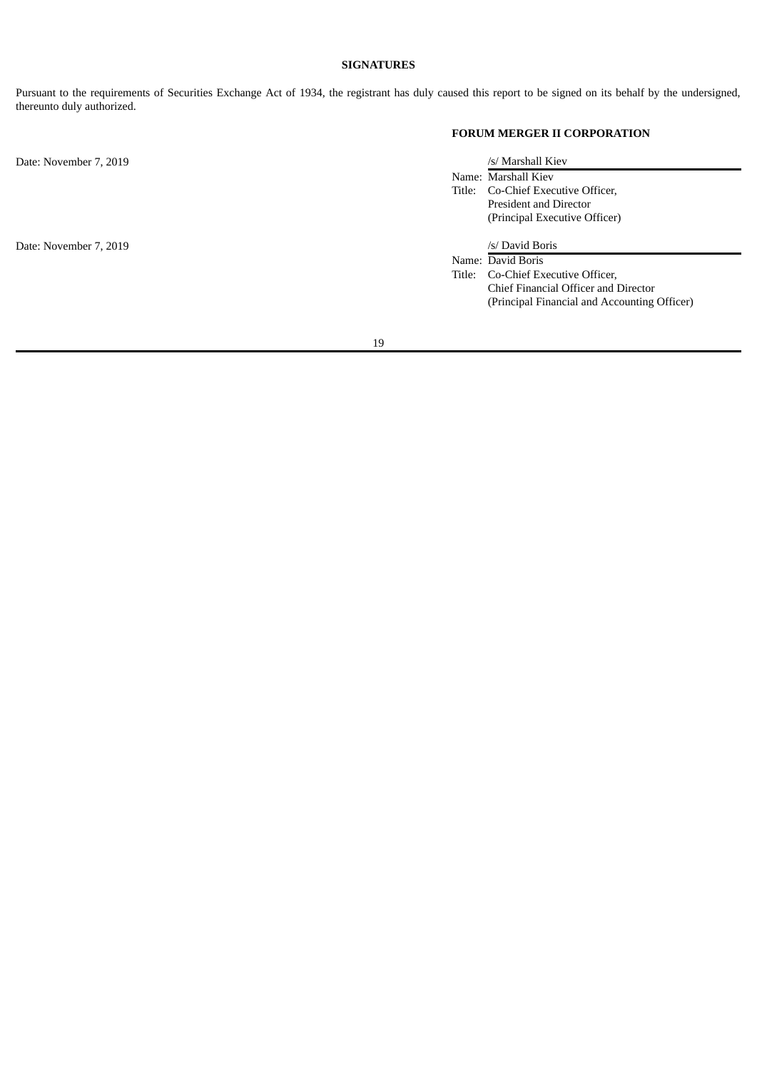# **SIGNATURES**

<span id="page-20-0"></span>Pursuant to the requirements of Securities Exchange Act of 1934, the registrant has duly caused this report to be signed on its behalf by the undersigned, thereunto duly authorized.

# **FORUM MERGER II CORPORATION**

| Date: November 7, 2019 |        | /s/ Marshall Kiev                            |
|------------------------|--------|----------------------------------------------|
|                        |        | Name: Marshall Kiev                          |
|                        | Title: | Co-Chief Executive Officer,                  |
|                        |        | President and Director                       |
|                        |        | (Principal Executive Officer)                |
| Date: November 7, 2019 |        | /s/ David Boris                              |
|                        |        | Name: David Boris                            |
|                        |        | Title: Co-Chief Executive Officer,           |
|                        |        | Chief Financial Officer and Director         |
|                        |        | (Principal Financial and Accounting Officer) |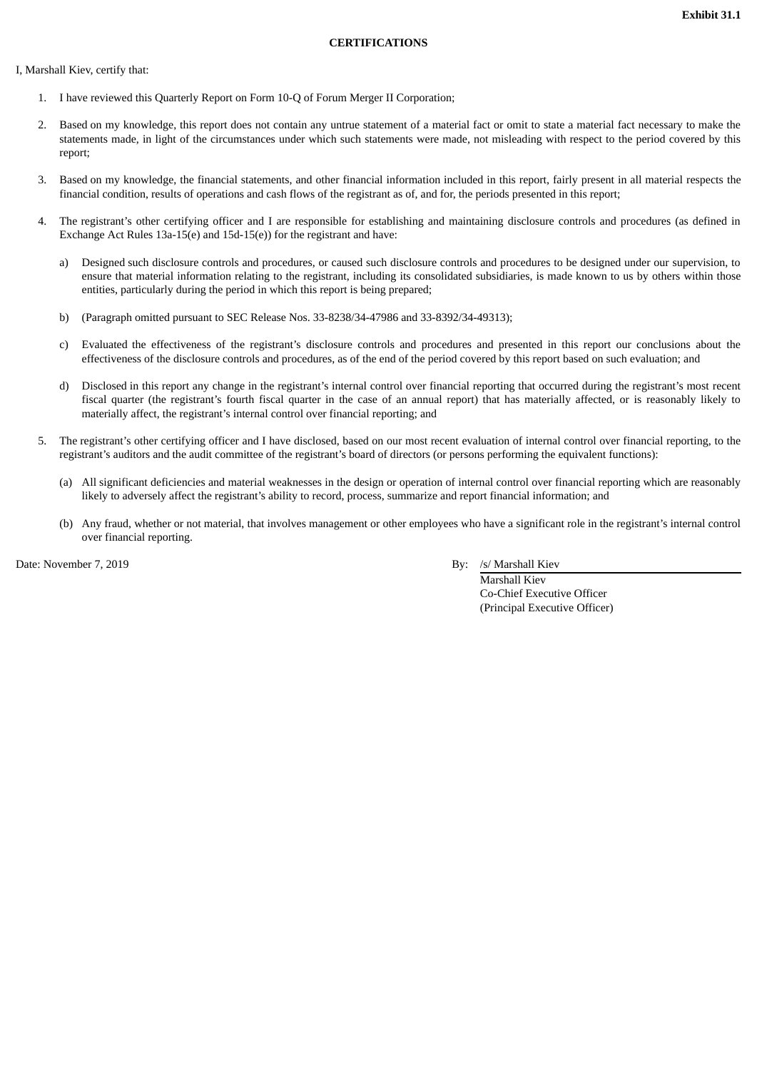### **CERTIFICATIONS**

I, Marshall Kiev, certify that:

- 1. I have reviewed this Quarterly Report on Form 10-Q of Forum Merger II Corporation;
- 2. Based on my knowledge, this report does not contain any untrue statement of a material fact or omit to state a material fact necessary to make the statements made, in light of the circumstances under which such statements were made, not misleading with respect to the period covered by this report;
- 3. Based on my knowledge, the financial statements, and other financial information included in this report, fairly present in all material respects the financial condition, results of operations and cash flows of the registrant as of, and for, the periods presented in this report;
- 4. The registrant's other certifying officer and I are responsible for establishing and maintaining disclosure controls and procedures (as defined in Exchange Act Rules 13a-15(e) and 15d-15(e)) for the registrant and have:
	- a) Designed such disclosure controls and procedures, or caused such disclosure controls and procedures to be designed under our supervision, to ensure that material information relating to the registrant, including its consolidated subsidiaries, is made known to us by others within those entities, particularly during the period in which this report is being prepared;
	- b) (Paragraph omitted pursuant to SEC Release Nos. 33-8238/34-47986 and 33-8392/34-49313);
	- c) Evaluated the effectiveness of the registrant's disclosure controls and procedures and presented in this report our conclusions about the effectiveness of the disclosure controls and procedures, as of the end of the period covered by this report based on such evaluation; and
	- d) Disclosed in this report any change in the registrant's internal control over financial reporting that occurred during the registrant's most recent fiscal quarter (the registrant's fourth fiscal quarter in the case of an annual report) that has materially affected, or is reasonably likely to materially affect, the registrant's internal control over financial reporting; and
- 5. The registrant's other certifying officer and I have disclosed, based on our most recent evaluation of internal control over financial reporting, to the registrant's auditors and the audit committee of the registrant's board of directors (or persons performing the equivalent functions):
	- (a) All significant deficiencies and material weaknesses in the design or operation of internal control over financial reporting which are reasonably likely to adversely affect the registrant's ability to record, process, summarize and report financial information; and
	- (b) Any fraud, whether or not material, that involves management or other employees who have a significant role in the registrant's internal control over financial reporting.

Date: November 7, 2019 **By:** /s/ Marshall Kiev

Marshall Kiev Co-Chief Executive Officer (Principal Executive Officer)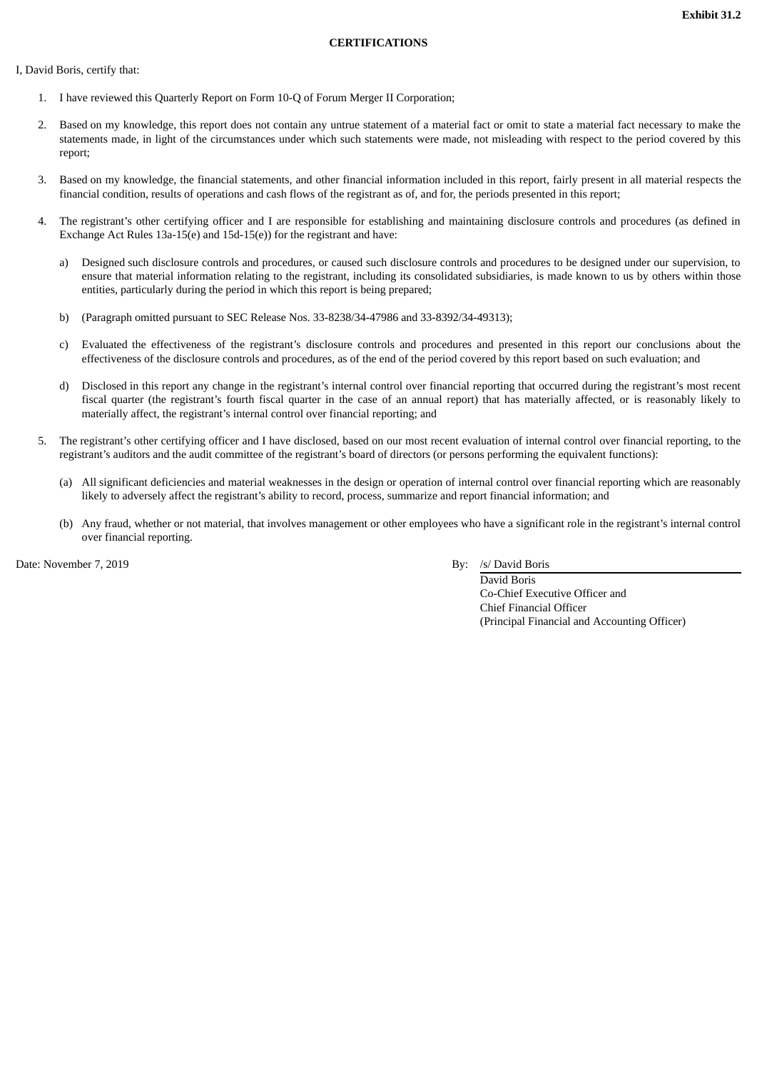## **CERTIFICATIONS**

I, David Boris, certify that:

- 1. I have reviewed this Quarterly Report on Form 10-Q of Forum Merger II Corporation;
- 2. Based on my knowledge, this report does not contain any untrue statement of a material fact or omit to state a material fact necessary to make the statements made, in light of the circumstances under which such statements were made, not misleading with respect to the period covered by this report;
- 3. Based on my knowledge, the financial statements, and other financial information included in this report, fairly present in all material respects the financial condition, results of operations and cash flows of the registrant as of, and for, the periods presented in this report;
- 4. The registrant's other certifying officer and I are responsible for establishing and maintaining disclosure controls and procedures (as defined in Exchange Act Rules 13a-15(e) and 15d-15(e)) for the registrant and have:
	- a) Designed such disclosure controls and procedures, or caused such disclosure controls and procedures to be designed under our supervision, to ensure that material information relating to the registrant, including its consolidated subsidiaries, is made known to us by others within those entities, particularly during the period in which this report is being prepared;
	- b) (Paragraph omitted pursuant to SEC Release Nos. 33-8238/34-47986 and 33-8392/34-49313);
	- c) Evaluated the effectiveness of the registrant's disclosure controls and procedures and presented in this report our conclusions about the effectiveness of the disclosure controls and procedures, as of the end of the period covered by this report based on such evaluation; and
	- d) Disclosed in this report any change in the registrant's internal control over financial reporting that occurred during the registrant's most recent fiscal quarter (the registrant's fourth fiscal quarter in the case of an annual report) that has materially affected, or is reasonably likely to materially affect, the registrant's internal control over financial reporting; and
- 5. The registrant's other certifying officer and I have disclosed, based on our most recent evaluation of internal control over financial reporting, to the registrant's auditors and the audit committee of the registrant's board of directors (or persons performing the equivalent functions):
	- (a) All significant deficiencies and material weaknesses in the design or operation of internal control over financial reporting which are reasonably likely to adversely affect the registrant's ability to record, process, summarize and report financial information; and
	- (b) Any fraud, whether or not material, that involves management or other employees who have a significant role in the registrant's internal control over financial reporting.

Date: November 7, 2019 By: /s/ David Boris

David Boris Co-Chief Executive Officer and Chief Financial Officer (Principal Financial and Accounting Officer)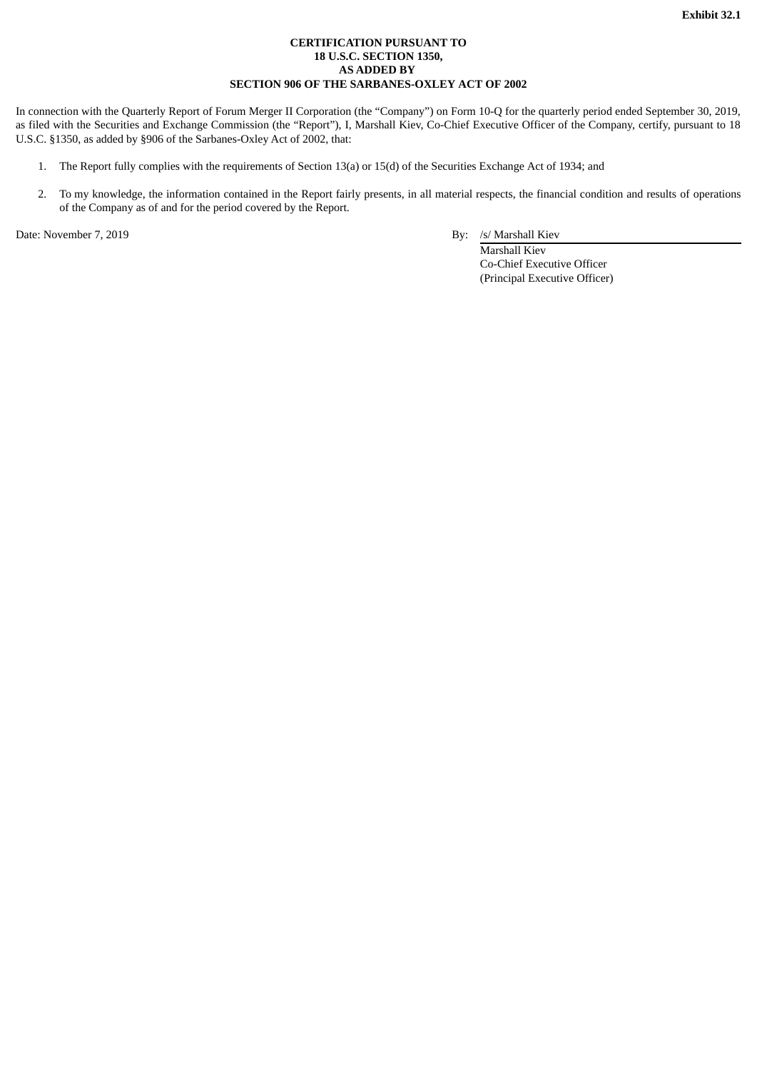# **CERTIFICATION PURSUANT TO 18 U.S.C. SECTION 1350, AS ADDED BY SECTION 906 OF THE SARBANES-OXLEY ACT OF 2002**

In connection with the Quarterly Report of Forum Merger II Corporation (the "Company") on Form 10-Q for the quarterly period ended September 30, 2019, as filed with the Securities and Exchange Commission (the "Report"), I, Marshall Kiev, Co-Chief Executive Officer of the Company, certify, pursuant to 18 U.S.C. §1350, as added by §906 of the Sarbanes-Oxley Act of 2002, that:

- 1. The Report fully complies with the requirements of Section 13(a) or 15(d) of the Securities Exchange Act of 1934; and
- 2. To my knowledge, the information contained in the Report fairly presents, in all material respects, the financial condition and results of operations of the Company as of and for the period covered by the Report.

Date: November 7, 2019 By: /s/ Marshall Kiev

Marshall Kiev Co-Chief Executive Officer (Principal Executive Officer)